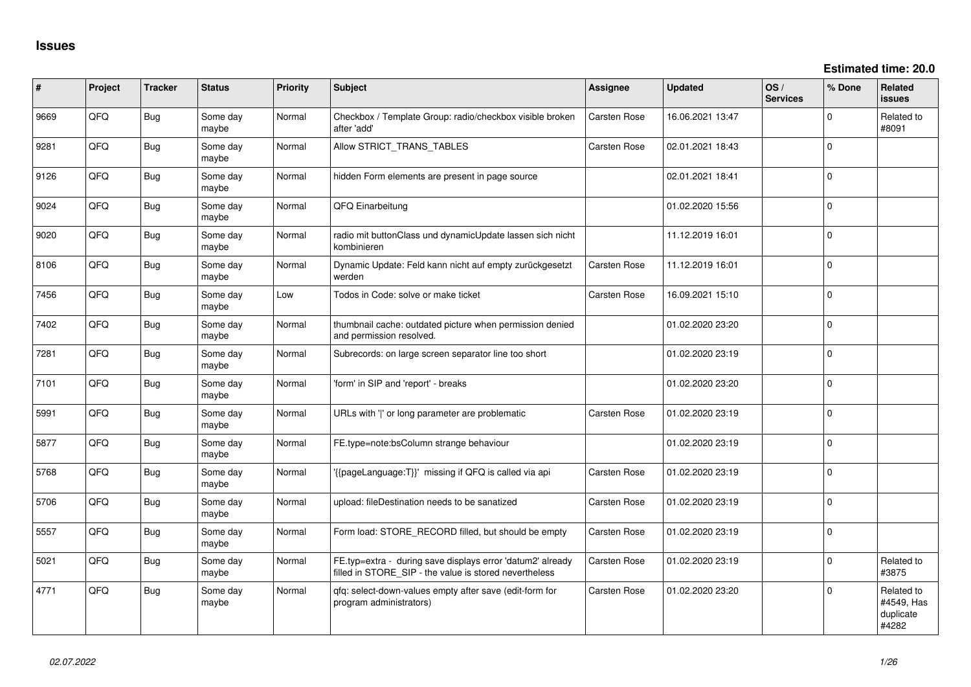| #    | Project | <b>Tracker</b> | <b>Status</b>     | <b>Priority</b> | Subject                                                                                                              | <b>Assignee</b>     | <b>Updated</b>   | OS/<br><b>Services</b> | % Done      | Related<br><b>issues</b>                       |
|------|---------|----------------|-------------------|-----------------|----------------------------------------------------------------------------------------------------------------------|---------------------|------------------|------------------------|-------------|------------------------------------------------|
| 9669 | QFQ     | Bug            | Some day<br>maybe | Normal          | Checkbox / Template Group: radio/checkbox visible broken<br>after 'add'                                              | <b>Carsten Rose</b> | 16.06.2021 13:47 |                        | $\Omega$    | Related to<br>#8091                            |
| 9281 | QFQ     | Bug            | Some day<br>maybe | Normal          | Allow STRICT_TRANS_TABLES                                                                                            | <b>Carsten Rose</b> | 02.01.2021 18:43 |                        | $\Omega$    |                                                |
| 9126 | QFQ     | <b>Bug</b>     | Some day<br>maybe | Normal          | hidden Form elements are present in page source                                                                      |                     | 02.01.2021 18:41 |                        | $\mathbf 0$ |                                                |
| 9024 | QFQ     | Bug            | Some day<br>maybe | Normal          | QFQ Einarbeitung                                                                                                     |                     | 01.02.2020 15:56 |                        | $\Omega$    |                                                |
| 9020 | QFQ     | Bug            | Some day<br>maybe | Normal          | radio mit buttonClass und dynamicUpdate lassen sich nicht<br>kombinieren                                             |                     | 11.12.2019 16:01 |                        | $\mathbf 0$ |                                                |
| 8106 | QFQ     | Bug            | Some day<br>maybe | Normal          | Dynamic Update: Feld kann nicht auf empty zurückgesetzt<br>werden                                                    | <b>Carsten Rose</b> | 11.12.2019 16:01 |                        | $\Omega$    |                                                |
| 7456 | QFQ     | Bug            | Some day<br>maybe | Low             | Todos in Code: solve or make ticket                                                                                  | <b>Carsten Rose</b> | 16.09.2021 15:10 |                        | $\Omega$    |                                                |
| 7402 | QFQ     | <b>Bug</b>     | Some day<br>maybe | Normal          | thumbnail cache: outdated picture when permission denied<br>and permission resolved.                                 |                     | 01.02.2020 23:20 |                        | $\mathbf 0$ |                                                |
| 7281 | QFQ     | Bug            | Some day<br>maybe | Normal          | Subrecords: on large screen separator line too short                                                                 |                     | 01.02.2020 23:19 |                        | $\Omega$    |                                                |
| 7101 | QFQ     | Bug            | Some day<br>maybe | Normal          | 'form' in SIP and 'report' - breaks                                                                                  |                     | 01.02.2020 23:20 |                        | $\Omega$    |                                                |
| 5991 | QFQ     | Bug            | Some day<br>maybe | Normal          | URLs with 'I' or long parameter are problematic                                                                      | <b>Carsten Rose</b> | 01.02.2020 23:19 |                        | $\Omega$    |                                                |
| 5877 | QFQ     | <b>Bug</b>     | Some day<br>maybe | Normal          | FE.type=note:bsColumn strange behaviour                                                                              |                     | 01.02.2020 23:19 |                        | $\Omega$    |                                                |
| 5768 | QFQ     | Bug            | Some day<br>maybe | Normal          | '{{pageLanguage:T}}' missing if QFQ is called via api                                                                | Carsten Rose        | 01.02.2020 23:19 |                        | $\Omega$    |                                                |
| 5706 | QFQ     | <b>Bug</b>     | Some day<br>maybe | Normal          | upload: fileDestination needs to be sanatized                                                                        | Carsten Rose        | 01.02.2020 23:19 |                        | $\Omega$    |                                                |
| 5557 | QFQ     | <b>Bug</b>     | Some day<br>maybe | Normal          | Form load: STORE_RECORD filled, but should be empty                                                                  | Carsten Rose        | 01.02.2020 23:19 |                        | $\Omega$    |                                                |
| 5021 | QFQ     | Bug            | Some day<br>maybe | Normal          | FE.typ=extra - during save displays error 'datum2' already<br>filled in STORE_SIP - the value is stored nevertheless | <b>Carsten Rose</b> | 01.02.2020 23:19 |                        | $\Omega$    | Related to<br>#3875                            |
| 4771 | QFQ     | <b>Bug</b>     | Some day<br>maybe | Normal          | qfq: select-down-values empty after save (edit-form for<br>program administrators)                                   | <b>Carsten Rose</b> | 01.02.2020 23:20 |                        | $\Omega$    | Related to<br>#4549, Has<br>duplicate<br>#4282 |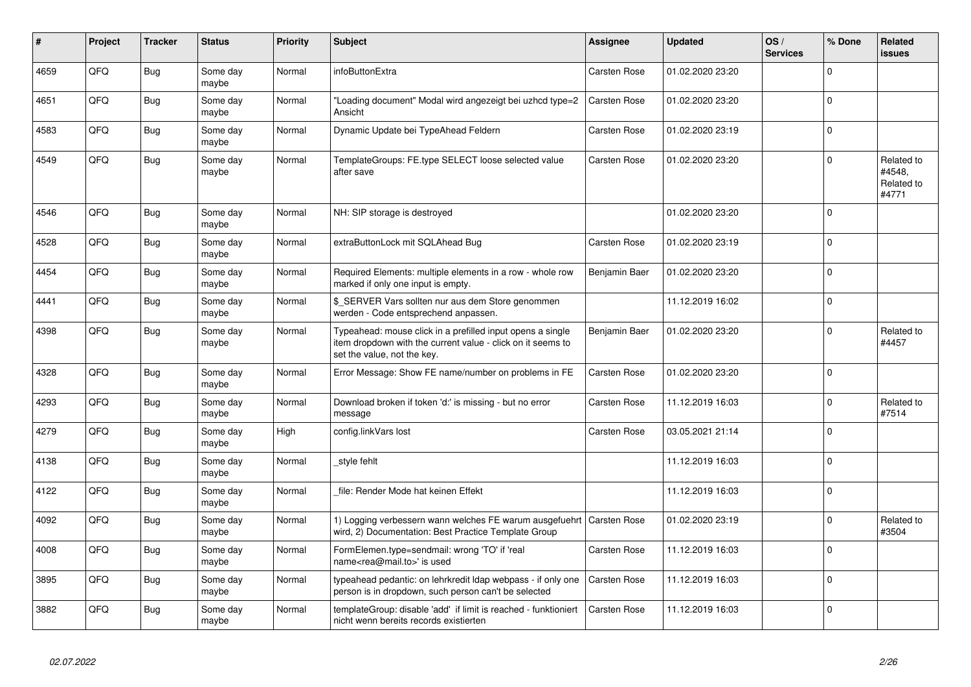| #    | Project | <b>Tracker</b> | <b>Status</b>     | <b>Priority</b> | <b>Subject</b>                                                                                                                                           | Assignee            | <b>Updated</b>   | OS/<br><b>Services</b> | % Done      | Related<br><b>issues</b>                    |
|------|---------|----------------|-------------------|-----------------|----------------------------------------------------------------------------------------------------------------------------------------------------------|---------------------|------------------|------------------------|-------------|---------------------------------------------|
| 4659 | QFQ     | <b>Bug</b>     | Some day<br>maybe | Normal          | infoButtonExtra                                                                                                                                          | Carsten Rose        | 01.02.2020 23:20 |                        | $\Omega$    |                                             |
| 4651 | QFQ     | Bug            | Some day<br>maybe | Normal          | "Loading document" Modal wird angezeigt bei uzhcd type=2<br>Ansicht                                                                                      | <b>Carsten Rose</b> | 01.02.2020 23:20 |                        | $\Omega$    |                                             |
| 4583 | QFQ     | Bug            | Some day<br>maybe | Normal          | Dynamic Update bei TypeAhead Feldern                                                                                                                     | Carsten Rose        | 01.02.2020 23:19 |                        | $\Omega$    |                                             |
| 4549 | QFQ     | Bug            | Some day<br>maybe | Normal          | TemplateGroups: FE.type SELECT loose selected value<br>after save                                                                                        | Carsten Rose        | 01.02.2020 23:20 |                        | $\Omega$    | Related to<br>#4548,<br>Related to<br>#4771 |
| 4546 | QFQ     | Bug            | Some day<br>maybe | Normal          | NH: SIP storage is destroyed                                                                                                                             |                     | 01.02.2020 23:20 |                        | $\Omega$    |                                             |
| 4528 | QFQ     | Bug            | Some day<br>maybe | Normal          | extraButtonLock mit SQLAhead Bug                                                                                                                         | Carsten Rose        | 01.02.2020 23:19 |                        | $\mathbf 0$ |                                             |
| 4454 | QFQ     | Bug            | Some day<br>maybe | Normal          | Required Elements: multiple elements in a row - whole row<br>marked if only one input is empty.                                                          | Benjamin Baer       | 01.02.2020 23:20 |                        | $\Omega$    |                                             |
| 4441 | QFQ     | Bug            | Some day<br>maybe | Normal          | \$ SERVER Vars sollten nur aus dem Store genommen<br>werden - Code entsprechend anpassen.                                                                |                     | 11.12.2019 16:02 |                        | $\Omega$    |                                             |
| 4398 | QFQ     | Bug            | Some day<br>maybe | Normal          | Typeahead: mouse click in a prefilled input opens a single<br>item dropdown with the current value - click on it seems to<br>set the value, not the key. | Benjamin Baer       | 01.02.2020 23:20 |                        | $\Omega$    | Related to<br>#4457                         |
| 4328 | QFQ     | Bug            | Some day<br>maybe | Normal          | Error Message: Show FE name/number on problems in FE                                                                                                     | Carsten Rose        | 01.02.2020 23:20 |                        | $\Omega$    |                                             |
| 4293 | QFQ     | Bug            | Some day<br>maybe | Normal          | Download broken if token 'd:' is missing - but no error<br>message                                                                                       | Carsten Rose        | 11.12.2019 16:03 |                        | $\Omega$    | Related to<br>#7514                         |
| 4279 | QFQ     | Bug            | Some day<br>maybe | High            | config.linkVars lost                                                                                                                                     | Carsten Rose        | 03.05.2021 21:14 |                        | $\Omega$    |                                             |
| 4138 | QFQ     | Bug            | Some day<br>maybe | Normal          | style fehlt                                                                                                                                              |                     | 11.12.2019 16:03 |                        | $\Omega$    |                                             |
| 4122 | QFQ     | Bug            | Some day<br>maybe | Normal          | file: Render Mode hat keinen Effekt                                                                                                                      |                     | 11.12.2019 16:03 |                        | $\Omega$    |                                             |
| 4092 | QFQ     | Bug            | Some day<br>maybe | Normal          | 1) Logging verbessern wann welches FE warum ausgefuehrt   Carsten Rose<br>wird, 2) Documentation: Best Practice Template Group                           |                     | 01.02.2020 23:19 |                        | $\Omega$    | Related to<br>#3504                         |
| 4008 | QFQ     | Bug            | Some day<br>maybe | Normal          | FormElemen.type=sendmail: wrong 'TO' if 'real<br>name <rea@mail.to>' is used</rea@mail.to>                                                               | Carsten Rose        | 11.12.2019 16:03 |                        | $\Omega$    |                                             |
| 3895 | QFQ     | Bug            | Some day<br>maybe | Normal          | typeahead pedantic: on lehrkredit Idap webpass - if only one<br>person is in dropdown, such person can't be selected                                     | <b>Carsten Rose</b> | 11.12.2019 16:03 |                        | $\Omega$    |                                             |
| 3882 | QFQ     | Bug            | Some day<br>maybe | Normal          | templateGroup: disable 'add' if limit is reached - funktioniert<br>nicht wenn bereits records existierten                                                | <b>Carsten Rose</b> | 11.12.2019 16:03 |                        | $\Omega$    |                                             |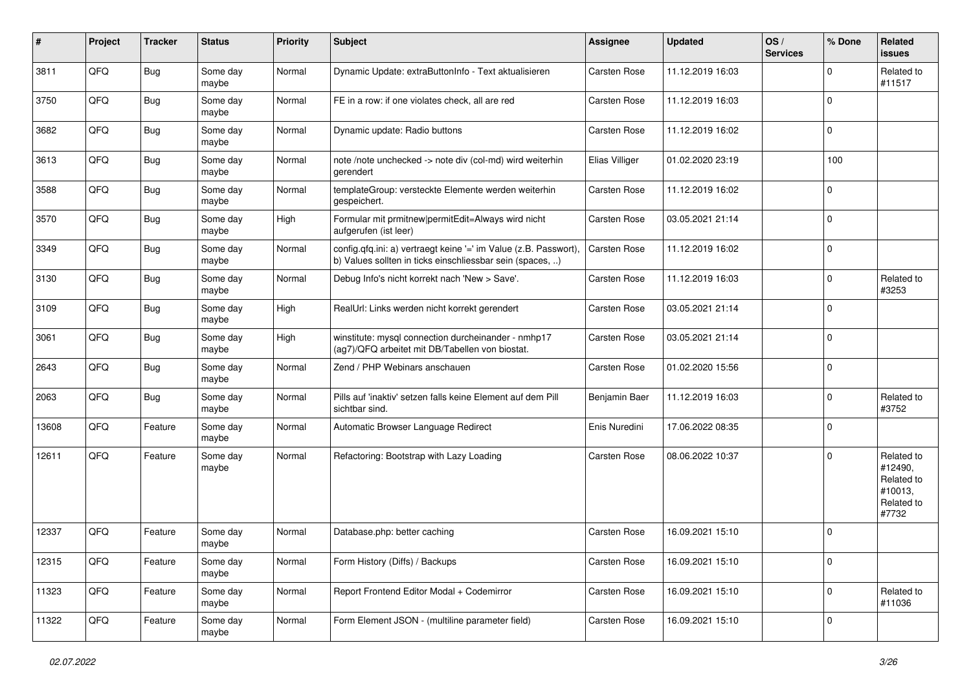| ∦     | Project | <b>Tracker</b> | <b>Status</b>     | <b>Priority</b> | Subject                                                                                                                       | Assignee            | <b>Updated</b>   | OS/<br><b>Services</b> | % Done      | Related<br><b>issues</b>                                              |
|-------|---------|----------------|-------------------|-----------------|-------------------------------------------------------------------------------------------------------------------------------|---------------------|------------------|------------------------|-------------|-----------------------------------------------------------------------|
| 3811  | QFQ     | <b>Bug</b>     | Some day<br>maybe | Normal          | Dynamic Update: extraButtonInfo - Text aktualisieren                                                                          | Carsten Rose        | 11.12.2019 16:03 |                        | 0           | Related to<br>#11517                                                  |
| 3750  | QFQ     | Bug            | Some day<br>maybe | Normal          | FE in a row: if one violates check, all are red                                                                               | Carsten Rose        | 11.12.2019 16:03 |                        | $\Omega$    |                                                                       |
| 3682  | QFQ     | Bug            | Some day<br>maybe | Normal          | Dynamic update: Radio buttons                                                                                                 | Carsten Rose        | 11.12.2019 16:02 |                        | 0           |                                                                       |
| 3613  | QFQ     | Bug            | Some day<br>maybe | Normal          | note /note unchecked -> note div (col-md) wird weiterhin<br>gerendert                                                         | Elias Villiger      | 01.02.2020 23:19 |                        | 100         |                                                                       |
| 3588  | QFQ     | <b>Bug</b>     | Some day<br>maybe | Normal          | templateGroup: versteckte Elemente werden weiterhin<br>gespeichert.                                                           | Carsten Rose        | 11.12.2019 16:02 |                        | $\Omega$    |                                                                       |
| 3570  | QFQ     | <b>Bug</b>     | Some day<br>maybe | High            | Formular mit prmitnew permitEdit=Always wird nicht<br>aufgerufen (ist leer)                                                   | Carsten Rose        | 03.05.2021 21:14 |                        | $\Omega$    |                                                                       |
| 3349  | QFQ     | Bug            | Some day<br>maybe | Normal          | config.qfq.ini: a) vertraegt keine '=' im Value (z.B. Passwort),<br>b) Values sollten in ticks einschliessbar sein (spaces, ) | <b>Carsten Rose</b> | 11.12.2019 16:02 |                        | $\Omega$    |                                                                       |
| 3130  | QFQ     | Bug            | Some day<br>maybe | Normal          | Debug Info's nicht korrekt nach 'New > Save'.                                                                                 | Carsten Rose        | 11.12.2019 16:03 |                        | $\Omega$    | Related to<br>#3253                                                   |
| 3109  | QFQ     | Bug            | Some day<br>maybe | High            | RealUrl: Links werden nicht korrekt gerendert                                                                                 | Carsten Rose        | 03.05.2021 21:14 |                        | $\mathbf 0$ |                                                                       |
| 3061  | QFQ     | Bug            | Some day<br>maybe | High            | winstitute: mysql connection durcheinander - nmhp17<br>(ag7)/QFQ arbeitet mit DB/Tabellen von biostat.                        | Carsten Rose        | 03.05.2021 21:14 |                        | $\Omega$    |                                                                       |
| 2643  | QFQ     | Bug            | Some day<br>maybe | Normal          | Zend / PHP Webinars anschauen                                                                                                 | <b>Carsten Rose</b> | 01.02.2020 15:56 |                        | $\Omega$    |                                                                       |
| 2063  | QFQ     | Bug            | Some day<br>maybe | Normal          | Pills auf 'inaktiv' setzen falls keine Element auf dem Pill<br>sichtbar sind.                                                 | Benjamin Baer       | 11.12.2019 16:03 |                        | $\Omega$    | Related to<br>#3752                                                   |
| 13608 | QFQ     | Feature        | Some day<br>maybe | Normal          | Automatic Browser Language Redirect                                                                                           | Enis Nuredini       | 17.06.2022 08:35 |                        | $\Omega$    |                                                                       |
| 12611 | QFQ     | Feature        | Some day<br>maybe | Normal          | Refactoring: Bootstrap with Lazy Loading                                                                                      | Carsten Rose        | 08.06.2022 10:37 |                        | $\Omega$    | Related to<br>#12490,<br>Related to<br>#10013.<br>Related to<br>#7732 |
| 12337 | QFQ     | Feature        | Some day<br>maybe | Normal          | Database.php: better caching                                                                                                  | Carsten Rose        | 16.09.2021 15:10 |                        | $\Omega$    |                                                                       |
| 12315 | QFQ     | Feature        | Some day<br>maybe | Normal          | Form History (Diffs) / Backups                                                                                                | Carsten Rose        | 16.09.2021 15:10 |                        | $\mathbf 0$ |                                                                       |
| 11323 | QFQ     | Feature        | Some day<br>maybe | Normal          | Report Frontend Editor Modal + Codemirror                                                                                     | Carsten Rose        | 16.09.2021 15:10 |                        | $\mathbf 0$ | Related to<br>#11036                                                  |
| 11322 | QFQ     | Feature        | Some day<br>maybe | Normal          | Form Element JSON - (multiline parameter field)                                                                               | Carsten Rose        | 16.09.2021 15:10 |                        | $\mathbf 0$ |                                                                       |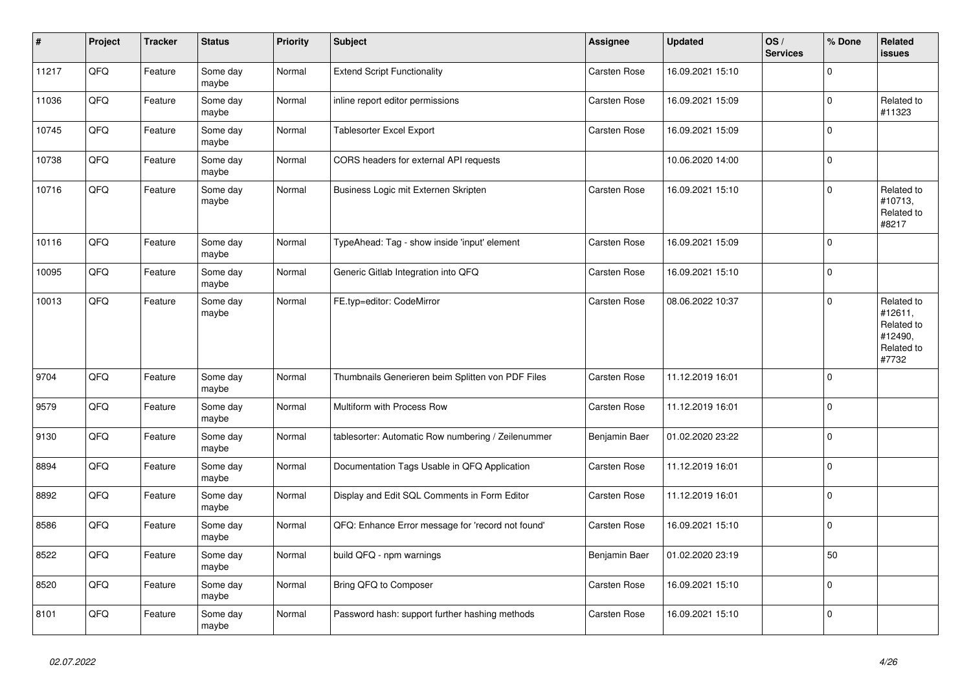| $\vert$ # | Project | <b>Tracker</b> | <b>Status</b>     | <b>Priority</b> | <b>Subject</b>                                     | Assignee            | <b>Updated</b>   | OS/<br><b>Services</b> | % Done      | Related<br><b>issues</b>                                              |
|-----------|---------|----------------|-------------------|-----------------|----------------------------------------------------|---------------------|------------------|------------------------|-------------|-----------------------------------------------------------------------|
| 11217     | QFQ     | Feature        | Some day<br>maybe | Normal          | <b>Extend Script Functionality</b>                 | Carsten Rose        | 16.09.2021 15:10 |                        | $\Omega$    |                                                                       |
| 11036     | QFQ     | Feature        | Some day<br>maybe | Normal          | inline report editor permissions                   | <b>Carsten Rose</b> | 16.09.2021 15:09 |                        | $\mathbf 0$ | Related to<br>#11323                                                  |
| 10745     | QFQ     | Feature        | Some day<br>maybe | Normal          | Tablesorter Excel Export                           | Carsten Rose        | 16.09.2021 15:09 |                        | $\Omega$    |                                                                       |
| 10738     | QFQ     | Feature        | Some day<br>maybe | Normal          | CORS headers for external API requests             |                     | 10.06.2020 14:00 |                        | $\mathbf 0$ |                                                                       |
| 10716     | QFQ     | Feature        | Some day<br>maybe | Normal          | Business Logic mit Externen Skripten               | Carsten Rose        | 16.09.2021 15:10 |                        | $\mathbf 0$ | Related to<br>#10713,<br>Related to<br>#8217                          |
| 10116     | QFQ     | Feature        | Some day<br>maybe | Normal          | TypeAhead: Tag - show inside 'input' element       | Carsten Rose        | 16.09.2021 15:09 |                        | $\Omega$    |                                                                       |
| 10095     | QFQ     | Feature        | Some day<br>maybe | Normal          | Generic Gitlab Integration into QFQ                | Carsten Rose        | 16.09.2021 15:10 |                        | $\mathbf 0$ |                                                                       |
| 10013     | QFQ     | Feature        | Some day<br>maybe | Normal          | FE.typ=editor: CodeMirror                          | Carsten Rose        | 08.06.2022 10:37 |                        | $\mathbf 0$ | Related to<br>#12611,<br>Related to<br>#12490,<br>Related to<br>#7732 |
| 9704      | QFQ     | Feature        | Some day<br>maybe | Normal          | Thumbnails Generieren beim Splitten von PDF Files  | <b>Carsten Rose</b> | 11.12.2019 16:01 |                        | $\Omega$    |                                                                       |
| 9579      | QFQ     | Feature        | Some day<br>maybe | Normal          | Multiform with Process Row                         | <b>Carsten Rose</b> | 11.12.2019 16:01 |                        | $\Omega$    |                                                                       |
| 9130      | QFQ     | Feature        | Some day<br>maybe | Normal          | tablesorter: Automatic Row numbering / Zeilenummer | Benjamin Baer       | 01.02.2020 23:22 |                        | $\Omega$    |                                                                       |
| 8894      | QFQ     | Feature        | Some day<br>maybe | Normal          | Documentation Tags Usable in QFQ Application       | <b>Carsten Rose</b> | 11.12.2019 16:01 |                        | $\mathbf 0$ |                                                                       |
| 8892      | QFQ     | Feature        | Some day<br>maybe | Normal          | Display and Edit SQL Comments in Form Editor       | Carsten Rose        | 11.12.2019 16:01 |                        | $\mathbf 0$ |                                                                       |
| 8586      | QFQ     | Feature        | Some day<br>maybe | Normal          | QFQ: Enhance Error message for 'record not found'  | Carsten Rose        | 16.09.2021 15:10 |                        | $\Omega$    |                                                                       |
| 8522      | QFQ     | Feature        | Some day<br>maybe | Normal          | build QFQ - npm warnings                           | Benjamin Baer       | 01.02.2020 23:19 |                        | 50          |                                                                       |
| 8520      | QFQ     | Feature        | Some day<br>maybe | Normal          | Bring QFQ to Composer                              | Carsten Rose        | 16.09.2021 15:10 |                        | $\Omega$    |                                                                       |
| 8101      | QFQ     | Feature        | Some day<br>maybe | Normal          | Password hash: support further hashing methods     | <b>Carsten Rose</b> | 16.09.2021 15:10 |                        | $\mathbf 0$ |                                                                       |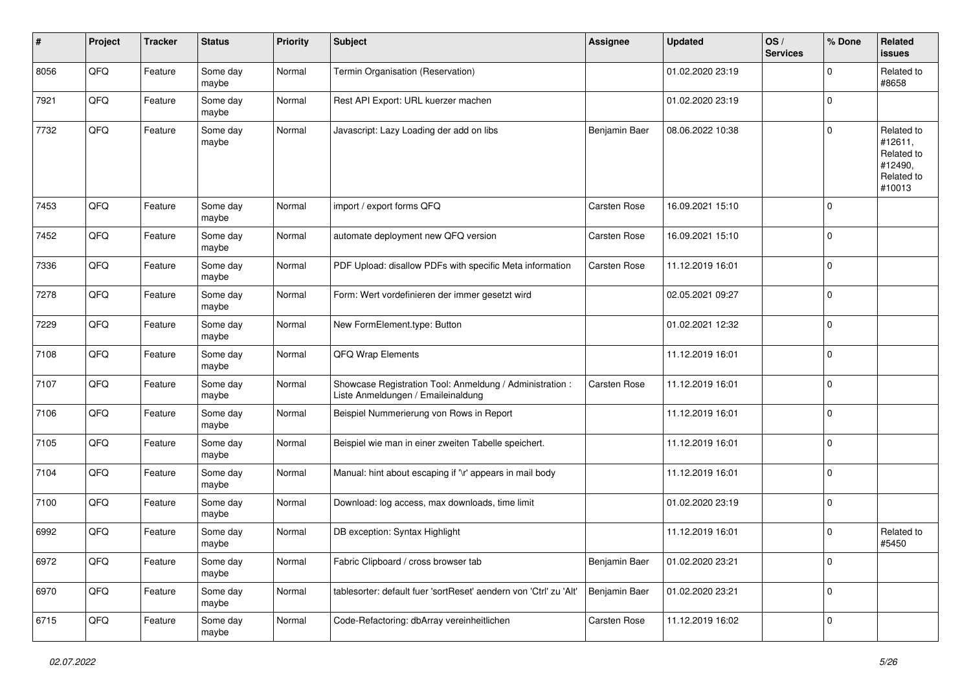| #    | Project | <b>Tracker</b> | <b>Status</b>     | <b>Priority</b> | <b>Subject</b>                                                                                 | Assignee      | <b>Updated</b>   | OS/<br><b>Services</b> | % Done         | Related<br><b>issues</b>                                               |
|------|---------|----------------|-------------------|-----------------|------------------------------------------------------------------------------------------------|---------------|------------------|------------------------|----------------|------------------------------------------------------------------------|
| 8056 | QFQ     | Feature        | Some day<br>maybe | Normal          | Termin Organisation (Reservation)                                                              |               | 01.02.2020 23:19 |                        | $\Omega$       | Related to<br>#8658                                                    |
| 7921 | QFQ     | Feature        | Some day<br>maybe | Normal          | Rest API Export: URL kuerzer machen                                                            |               | 01.02.2020 23:19 |                        | $\overline{0}$ |                                                                        |
| 7732 | QFQ     | Feature        | Some day<br>maybe | Normal          | Javascript: Lazy Loading der add on libs                                                       | Benjamin Baer | 08.06.2022 10:38 |                        | $\Omega$       | Related to<br>#12611,<br>Related to<br>#12490,<br>Related to<br>#10013 |
| 7453 | QFQ     | Feature        | Some day<br>maybe | Normal          | import / export forms QFQ                                                                      | Carsten Rose  | 16.09.2021 15:10 |                        | $\Omega$       |                                                                        |
| 7452 | QFQ     | Feature        | Some day<br>maybe | Normal          | automate deployment new QFQ version                                                            | Carsten Rose  | 16.09.2021 15:10 |                        | $\Omega$       |                                                                        |
| 7336 | QFQ     | Feature        | Some day<br>maybe | Normal          | PDF Upload: disallow PDFs with specific Meta information                                       | Carsten Rose  | 11.12.2019 16:01 |                        | $\mathbf 0$    |                                                                        |
| 7278 | QFQ     | Feature        | Some day<br>maybe | Normal          | Form: Wert vordefinieren der immer gesetzt wird                                                |               | 02.05.2021 09:27 |                        | $\mathbf 0$    |                                                                        |
| 7229 | QFQ     | Feature        | Some day<br>maybe | Normal          | New FormElement.type: Button                                                                   |               | 01.02.2021 12:32 |                        | $\Omega$       |                                                                        |
| 7108 | QFQ     | Feature        | Some day<br>maybe | Normal          | QFQ Wrap Elements                                                                              |               | 11.12.2019 16:01 |                        | $\mathbf 0$    |                                                                        |
| 7107 | QFQ     | Feature        | Some day<br>maybe | Normal          | Showcase Registration Tool: Anmeldung / Administration :<br>Liste Anmeldungen / Emaileinaldung | Carsten Rose  | 11.12.2019 16:01 |                        | $\mathbf 0$    |                                                                        |
| 7106 | QFQ     | Feature        | Some day<br>maybe | Normal          | Beispiel Nummerierung von Rows in Report                                                       |               | 11.12.2019 16:01 |                        | $\Omega$       |                                                                        |
| 7105 | QFQ     | Feature        | Some day<br>maybe | Normal          | Beispiel wie man in einer zweiten Tabelle speichert.                                           |               | 11.12.2019 16:01 |                        | $\mathbf 0$    |                                                                        |
| 7104 | QFQ     | Feature        | Some day<br>maybe | Normal          | Manual: hint about escaping if '\r' appears in mail body                                       |               | 11.12.2019 16:01 |                        | $\overline{0}$ |                                                                        |
| 7100 | QFQ     | Feature        | Some day<br>maybe | Normal          | Download: log access, max downloads, time limit                                                |               | 01.02.2020 23:19 |                        | 0              |                                                                        |
| 6992 | QFQ     | Feature        | Some day<br>maybe | Normal          | DB exception: Syntax Highlight                                                                 |               | 11.12.2019 16:01 |                        | $\Omega$       | Related to<br>#5450                                                    |
| 6972 | QFQ     | Feature        | Some day<br>maybe | Normal          | Fabric Clipboard / cross browser tab                                                           | Benjamin Baer | 01.02.2020 23:21 |                        | 0              |                                                                        |
| 6970 | QFQ     | Feature        | Some day<br>maybe | Normal          | tablesorter: default fuer 'sortReset' aendern von 'Ctrl' zu 'Alt'                              | Benjamin Baer | 01.02.2020 23:21 |                        | 0              |                                                                        |
| 6715 | QFG     | Feature        | Some day<br>maybe | Normal          | Code-Refactoring: dbArray vereinheitlichen                                                     | Carsten Rose  | 11.12.2019 16:02 |                        | 0              |                                                                        |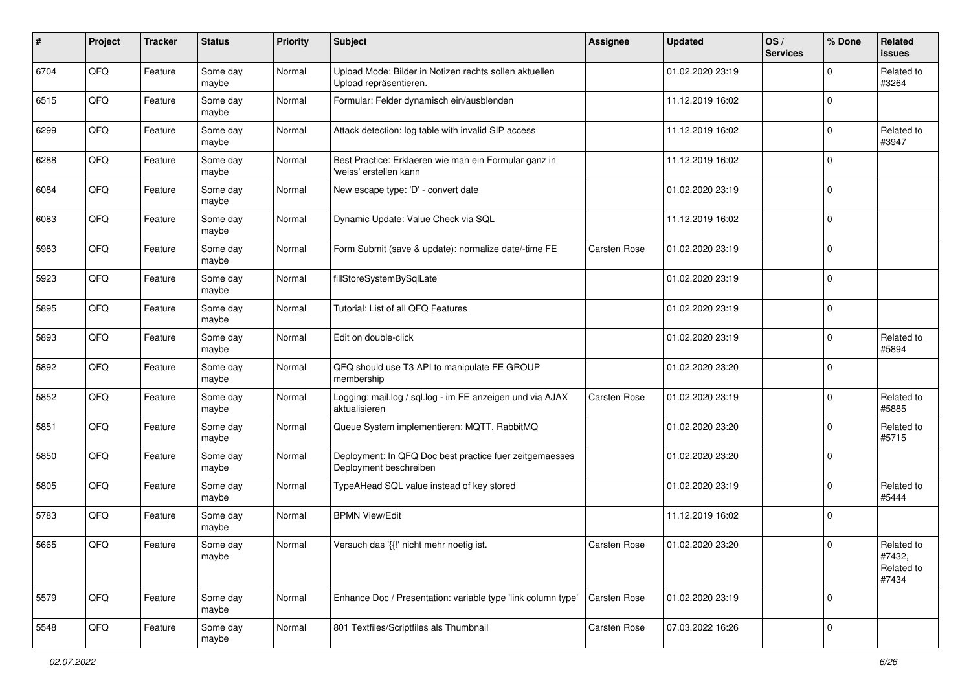| $\sharp$ | Project | <b>Tracker</b> | <b>Status</b>     | <b>Priority</b> | <b>Subject</b>                                                                    | Assignee     | <b>Updated</b>   | OS/<br><b>Services</b> | % Done      | Related<br><b>issues</b>                    |
|----------|---------|----------------|-------------------|-----------------|-----------------------------------------------------------------------------------|--------------|------------------|------------------------|-------------|---------------------------------------------|
| 6704     | QFQ     | Feature        | Some day<br>maybe | Normal          | Upload Mode: Bilder in Notizen rechts sollen aktuellen<br>Upload repräsentieren.  |              | 01.02.2020 23:19 |                        | $\Omega$    | Related to<br>#3264                         |
| 6515     | QFQ     | Feature        | Some day<br>maybe | Normal          | Formular: Felder dynamisch ein/ausblenden                                         |              | 11.12.2019 16:02 |                        | $\mathbf 0$ |                                             |
| 6299     | QFQ     | Feature        | Some day<br>maybe | Normal          | Attack detection: log table with invalid SIP access                               |              | 11.12.2019 16:02 |                        | $\Omega$    | Related to<br>#3947                         |
| 6288     | QFQ     | Feature        | Some day<br>maybe | Normal          | Best Practice: Erklaeren wie man ein Formular ganz in<br>'weiss' erstellen kann   |              | 11.12.2019 16:02 |                        | $\mathbf 0$ |                                             |
| 6084     | QFQ     | Feature        | Some day<br>maybe | Normal          | New escape type: 'D' - convert date                                               |              | 01.02.2020 23:19 |                        | $\mathbf 0$ |                                             |
| 6083     | QFQ     | Feature        | Some day<br>maybe | Normal          | Dynamic Update: Value Check via SQL                                               |              | 11.12.2019 16:02 |                        | $\Omega$    |                                             |
| 5983     | QFQ     | Feature        | Some day<br>maybe | Normal          | Form Submit (save & update): normalize date/-time FE                              | Carsten Rose | 01.02.2020 23:19 |                        | $\Omega$    |                                             |
| 5923     | QFQ     | Feature        | Some day<br>maybe | Normal          | fillStoreSystemBySqlLate                                                          |              | 01.02.2020 23:19 |                        | $\mathbf 0$ |                                             |
| 5895     | QFQ     | Feature        | Some day<br>maybe | Normal          | Tutorial: List of all QFQ Features                                                |              | 01.02.2020 23:19 |                        | 0           |                                             |
| 5893     | QFQ     | Feature        | Some day<br>maybe | Normal          | Edit on double-click                                                              |              | 01.02.2020 23:19 |                        | $\Omega$    | Related to<br>#5894                         |
| 5892     | QFQ     | Feature        | Some day<br>maybe | Normal          | QFQ should use T3 API to manipulate FE GROUP<br>membership                        |              | 01.02.2020 23:20 |                        | $\mathbf 0$ |                                             |
| 5852     | QFQ     | Feature        | Some day<br>maybe | Normal          | Logging: mail.log / sql.log - im FE anzeigen und via AJAX<br>aktualisieren        | Carsten Rose | 01.02.2020 23:19 |                        | $\Omega$    | Related to<br>#5885                         |
| 5851     | QFQ     | Feature        | Some day<br>maybe | Normal          | Queue System implementieren: MQTT, RabbitMQ                                       |              | 01.02.2020 23:20 |                        | $\Omega$    | Related to<br>#5715                         |
| 5850     | QFQ     | Feature        | Some day<br>maybe | Normal          | Deployment: In QFQ Doc best practice fuer zeitgemaesses<br>Deployment beschreiben |              | 01.02.2020 23:20 |                        | $\Omega$    |                                             |
| 5805     | QFQ     | Feature        | Some day<br>maybe | Normal          | TypeAHead SQL value instead of key stored                                         |              | 01.02.2020 23:19 |                        | $\Omega$    | Related to<br>#5444                         |
| 5783     | QFQ     | Feature        | Some day<br>maybe | Normal          | <b>BPMN View/Edit</b>                                                             |              | 11.12.2019 16:02 |                        | $\mathbf 0$ |                                             |
| 5665     | QFQ     | Feature        | Some day<br>maybe | Normal          | Versuch das '{{!' nicht mehr noetig ist.                                          | Carsten Rose | 01.02.2020 23:20 |                        | l 0         | Related to<br>#7432,<br>Related to<br>#7434 |
| 5579     | QFQ     | Feature        | Some day<br>maybe | Normal          | Enhance Doc / Presentation: variable type 'link column type'                      | Carsten Rose | 01.02.2020 23:19 |                        | 0           |                                             |
| 5548     | QFQ     | Feature        | Some day<br>maybe | Normal          | 801 Textfiles/Scriptfiles als Thumbnail                                           | Carsten Rose | 07.03.2022 16:26 |                        | 0           |                                             |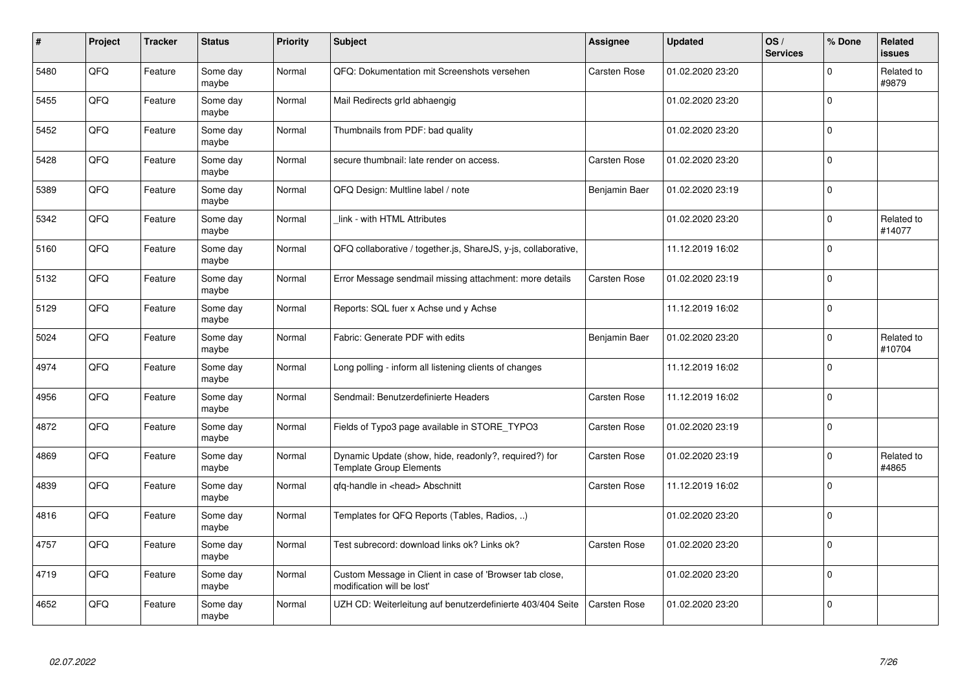| #    | Project | <b>Tracker</b> | <b>Status</b>     | <b>Priority</b> | <b>Subject</b>                                                                          | Assignee            | <b>Updated</b>   | OS/<br><b>Services</b> | % Done      | Related<br>issues    |
|------|---------|----------------|-------------------|-----------------|-----------------------------------------------------------------------------------------|---------------------|------------------|------------------------|-------------|----------------------|
| 5480 | QFQ     | Feature        | Some day<br>maybe | Normal          | QFQ: Dokumentation mit Screenshots versehen                                             | Carsten Rose        | 01.02.2020 23:20 |                        | $\Omega$    | Related to<br>#9879  |
| 5455 | QFQ     | Feature        | Some day<br>maybe | Normal          | Mail Redirects grld abhaengig                                                           |                     | 01.02.2020 23:20 |                        | $\Omega$    |                      |
| 5452 | QFQ     | Feature        | Some day<br>maybe | Normal          | Thumbnails from PDF: bad quality                                                        |                     | 01.02.2020 23:20 |                        | $\Omega$    |                      |
| 5428 | QFQ     | Feature        | Some day<br>maybe | Normal          | secure thumbnail: late render on access.                                                | Carsten Rose        | 01.02.2020 23:20 |                        | $\Omega$    |                      |
| 5389 | QFQ     | Feature        | Some day<br>maybe | Normal          | QFQ Design: Multline label / note                                                       | Benjamin Baer       | 01.02.2020 23:19 |                        | l O         |                      |
| 5342 | QFQ     | Feature        | Some day<br>maybe | Normal          | link - with HTML Attributes                                                             |                     | 01.02.2020 23:20 |                        | $\Omega$    | Related to<br>#14077 |
| 5160 | QFQ     | Feature        | Some day<br>maybe | Normal          | QFQ collaborative / together.js, ShareJS, y-js, collaborative,                          |                     | 11.12.2019 16:02 |                        | $\Omega$    |                      |
| 5132 | QFQ     | Feature        | Some day<br>maybe | Normal          | Error Message sendmail missing attachment: more details                                 | <b>Carsten Rose</b> | 01.02.2020 23:19 |                        | $\Omega$    |                      |
| 5129 | QFQ     | Feature        | Some day<br>maybe | Normal          | Reports: SQL fuer x Achse und y Achse                                                   |                     | 11.12.2019 16:02 |                        | $\Omega$    |                      |
| 5024 | QFQ     | Feature        | Some day<br>maybe | Normal          | Fabric: Generate PDF with edits                                                         | Benjamin Baer       | 01.02.2020 23:20 |                        | $\Omega$    | Related to<br>#10704 |
| 4974 | QFQ     | Feature        | Some day<br>maybe | Normal          | Long polling - inform all listening clients of changes                                  |                     | 11.12.2019 16:02 |                        | $\Omega$    |                      |
| 4956 | QFQ     | Feature        | Some day<br>maybe | Normal          | Sendmail: Benutzerdefinierte Headers                                                    | Carsten Rose        | 11.12.2019 16:02 |                        | $\mathbf 0$ |                      |
| 4872 | QFQ     | Feature        | Some day<br>maybe | Normal          | Fields of Typo3 page available in STORE_TYPO3                                           | <b>Carsten Rose</b> | 01.02.2020 23:19 |                        | $\mathbf 0$ |                      |
| 4869 | QFQ     | Feature        | Some day<br>maybe | Normal          | Dynamic Update (show, hide, readonly?, required?) for<br><b>Template Group Elements</b> | <b>Carsten Rose</b> | 01.02.2020 23:19 |                        | $\mathbf 0$ | Related to<br>#4865  |
| 4839 | QFQ     | Feature        | Some day<br>maybe | Normal          | gfg-handle in <head> Abschnitt</head>                                                   | Carsten Rose        | 11.12.2019 16:02 |                        | $\Omega$    |                      |
| 4816 | QFQ     | Feature        | Some day<br>maybe | Normal          | Templates for QFQ Reports (Tables, Radios, )                                            |                     | 01.02.2020 23:20 |                        | $\Omega$    |                      |
| 4757 | QFQ     | Feature        | Some day<br>maybe | Normal          | Test subrecord: download links ok? Links ok?                                            | <b>Carsten Rose</b> | 01.02.2020 23:20 |                        | $\Omega$    |                      |
| 4719 | QFQ     | Feature        | Some day<br>maybe | Normal          | Custom Message in Client in case of 'Browser tab close,<br>modification will be lost'   |                     | 01.02.2020 23:20 |                        | $\mathbf 0$ |                      |
| 4652 | QFQ     | Feature        | Some day<br>maybe | Normal          | UZH CD: Weiterleitung auf benutzerdefinierte 403/404 Seite                              | <b>Carsten Rose</b> | 01.02.2020 23:20 |                        | $\Omega$    |                      |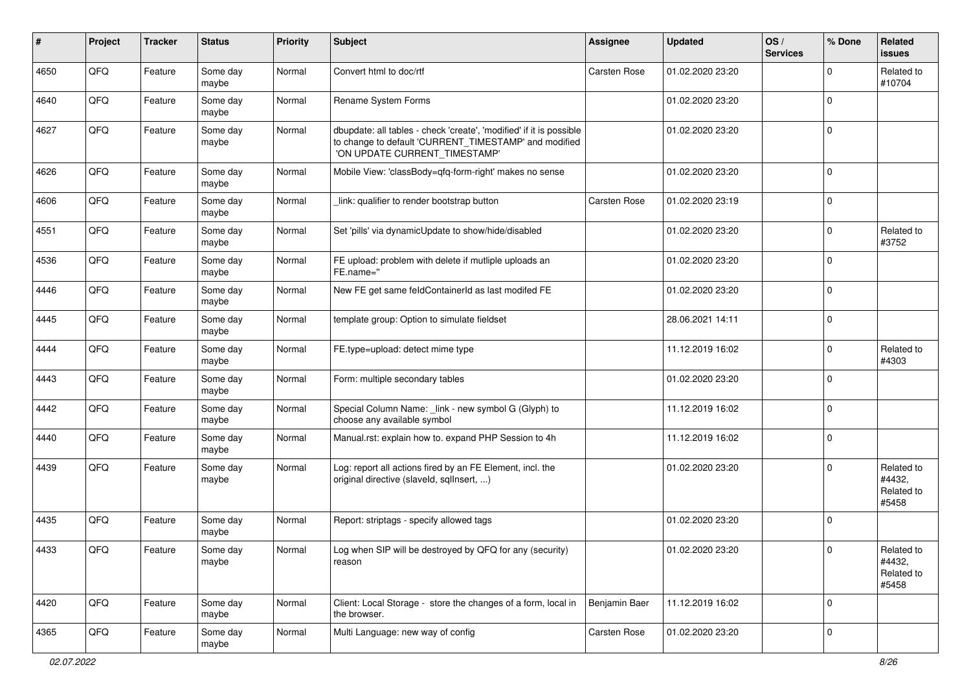| #    | Project | <b>Tracker</b> | <b>Status</b>     | <b>Priority</b> | <b>Subject</b>                                                                                                                                                | Assignee      | <b>Updated</b>   | OS/<br><b>Services</b> | % Done      | Related<br><b>issues</b>                    |
|------|---------|----------------|-------------------|-----------------|---------------------------------------------------------------------------------------------------------------------------------------------------------------|---------------|------------------|------------------------|-------------|---------------------------------------------|
| 4650 | QFQ     | Feature        | Some day<br>maybe | Normal          | Convert html to doc/rtf                                                                                                                                       | Carsten Rose  | 01.02.2020 23:20 |                        | $\Omega$    | Related to<br>#10704                        |
| 4640 | QFQ     | Feature        | Some day<br>maybe | Normal          | Rename System Forms                                                                                                                                           |               | 01.02.2020 23:20 |                        | $\mathbf 0$ |                                             |
| 4627 | QFQ     | Feature        | Some day<br>maybe | Normal          | dbupdate: all tables - check 'create', 'modified' if it is possible<br>to change to default 'CURRENT_TIMESTAMP' and modified<br>'ON UPDATE CURRENT TIMESTAMP' |               | 01.02.2020 23:20 |                        | $\mathbf 0$ |                                             |
| 4626 | QFQ     | Feature        | Some day<br>maybe | Normal          | Mobile View: 'classBody=qfq-form-right' makes no sense                                                                                                        |               | 01.02.2020 23:20 |                        | $\mathbf 0$ |                                             |
| 4606 | QFQ     | Feature        | Some day<br>maybe | Normal          | link: qualifier to render bootstrap button                                                                                                                    | Carsten Rose  | 01.02.2020 23:19 |                        | $\mathbf 0$ |                                             |
| 4551 | QFQ     | Feature        | Some day<br>maybe | Normal          | Set 'pills' via dynamicUpdate to show/hide/disabled                                                                                                           |               | 01.02.2020 23:20 |                        | $\mathbf 0$ | Related to<br>#3752                         |
| 4536 | QFQ     | Feature        | Some day<br>maybe | Normal          | FE upload: problem with delete if mutliple uploads an<br>FE.name="                                                                                            |               | 01.02.2020 23:20 |                        | $\mathbf 0$ |                                             |
| 4446 | QFQ     | Feature        | Some day<br>maybe | Normal          | New FE get same feldContainerId as last modifed FE                                                                                                            |               | 01.02.2020 23:20 |                        | $\mathbf 0$ |                                             |
| 4445 | QFQ     | Feature        | Some day<br>maybe | Normal          | template group: Option to simulate fieldset                                                                                                                   |               | 28.06.2021 14:11 |                        | $\mathbf 0$ |                                             |
| 4444 | QFQ     | Feature        | Some day<br>maybe | Normal          | FE.type=upload: detect mime type                                                                                                                              |               | 11.12.2019 16:02 |                        | $\mathbf 0$ | Related to<br>#4303                         |
| 4443 | QFQ     | Feature        | Some day<br>maybe | Normal          | Form: multiple secondary tables                                                                                                                               |               | 01.02.2020 23:20 |                        | $\mathbf 0$ |                                             |
| 4442 | QFQ     | Feature        | Some day<br>maybe | Normal          | Special Column Name: _link - new symbol G (Glyph) to<br>choose any available symbol                                                                           |               | 11.12.2019 16:02 |                        | $\mathbf 0$ |                                             |
| 4440 | QFQ     | Feature        | Some day<br>maybe | Normal          | Manual.rst: explain how to. expand PHP Session to 4h                                                                                                          |               | 11.12.2019 16:02 |                        | $\mathbf 0$ |                                             |
| 4439 | QFQ     | Feature        | Some day<br>maybe | Normal          | Log: report all actions fired by an FE Element, incl. the<br>original directive (slaveld, sqllnsert, )                                                        |               | 01.02.2020 23:20 |                        | $\mathbf 0$ | Related to<br>#4432,<br>Related to<br>#5458 |
| 4435 | QFQ     | Feature        | Some day<br>maybe | Normal          | Report: striptags - specify allowed tags                                                                                                                      |               | 01.02.2020 23:20 |                        | $\mathbf 0$ |                                             |
| 4433 | QFQ     | Feature        | Some day<br>maybe | Normal          | Log when SIP will be destroyed by QFQ for any (security)<br>reason                                                                                            |               | 01.02.2020 23:20 |                        | $\pmb{0}$   | Related to<br>#4432,<br>Related to<br>#5458 |
| 4420 | QFQ     | Feature        | Some day<br>maybe | Normal          | Client: Local Storage - store the changes of a form, local in<br>the browser.                                                                                 | Benjamin Baer | 11.12.2019 16:02 |                        | $\mathbf 0$ |                                             |
| 4365 | QFQ     | Feature        | Some day<br>maybe | Normal          | Multi Language: new way of config                                                                                                                             | Carsten Rose  | 01.02.2020 23:20 |                        | 0           |                                             |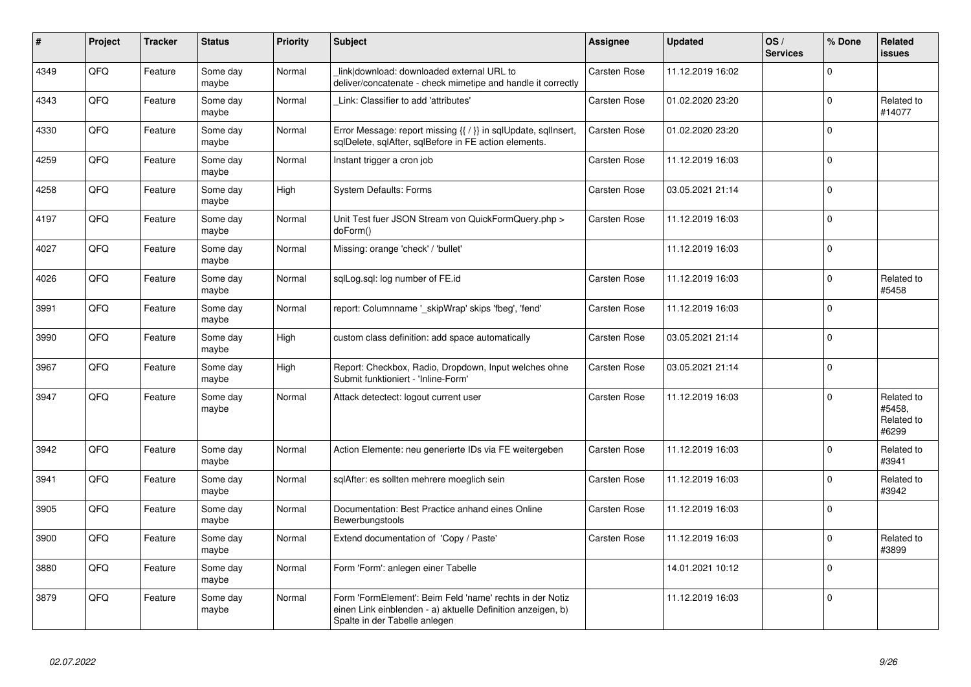| $\vert$ # | <b>Project</b> | <b>Tracker</b> | <b>Status</b>     | <b>Priority</b> | <b>Subject</b>                                                                                                                                           | Assignee            | <b>Updated</b>   | OS/<br><b>Services</b> | % Done   | Related<br>issues                           |
|-----------|----------------|----------------|-------------------|-----------------|----------------------------------------------------------------------------------------------------------------------------------------------------------|---------------------|------------------|------------------------|----------|---------------------------------------------|
| 4349      | QFQ            | Feature        | Some day<br>maybe | Normal          | link download: downloaded external URL to<br>deliver/concatenate - check mimetipe and handle it correctly                                                | Carsten Rose        | 11.12.2019 16:02 |                        | $\Omega$ |                                             |
| 4343      | QFQ            | Feature        | Some day<br>maybe | Normal          | Link: Classifier to add 'attributes'                                                                                                                     | Carsten Rose        | 01.02.2020 23:20 |                        | $\Omega$ | Related to<br>#14077                        |
| 4330      | QFQ            | Feature        | Some day<br>maybe | Normal          | Error Message: report missing {{ / }} in sqlUpdate, sqlInsert,<br>sqlDelete, sqlAfter, sqlBefore in FE action elements.                                  | Carsten Rose        | 01.02.2020 23:20 |                        | $\Omega$ |                                             |
| 4259      | QFQ            | Feature        | Some day<br>maybe | Normal          | Instant trigger a cron job                                                                                                                               | <b>Carsten Rose</b> | 11.12.2019 16:03 |                        | $\Omega$ |                                             |
| 4258      | QFQ            | Feature        | Some day<br>maybe | High            | <b>System Defaults: Forms</b>                                                                                                                            | Carsten Rose        | 03.05.2021 21:14 |                        | $\Omega$ |                                             |
| 4197      | QFQ            | Feature        | Some day<br>maybe | Normal          | Unit Test fuer JSON Stream von QuickFormQuery.php ><br>doForm()                                                                                          | Carsten Rose        | 11.12.2019 16:03 |                        | $\Omega$ |                                             |
| 4027      | QFQ            | Feature        | Some day<br>maybe | Normal          | Missing: orange 'check' / 'bullet'                                                                                                                       |                     | 11.12.2019 16:03 |                        | $\Omega$ |                                             |
| 4026      | QFQ            | Feature        | Some day<br>maybe | Normal          | sqlLog.sql: log number of FE.id                                                                                                                          | Carsten Rose        | 11.12.2019 16:03 |                        | $\Omega$ | Related to<br>#5458                         |
| 3991      | QFQ            | Feature        | Some day<br>maybe | Normal          | report: Columnname '_skipWrap' skips 'fbeg', 'fend'                                                                                                      | Carsten Rose        | 11.12.2019 16:03 |                        | $\Omega$ |                                             |
| 3990      | QFQ            | Feature        | Some day<br>maybe | High            | custom class definition: add space automatically                                                                                                         | <b>Carsten Rose</b> | 03.05.2021 21:14 |                        | $\Omega$ |                                             |
| 3967      | QFQ            | Feature        | Some day<br>maybe | High            | Report: Checkbox, Radio, Dropdown, Input welches ohne<br>Submit funktioniert - 'Inline-Form'                                                             | <b>Carsten Rose</b> | 03.05.2021 21:14 |                        | $\Omega$ |                                             |
| 3947      | QFQ            | Feature        | Some day<br>maybe | Normal          | Attack detectect: logout current user                                                                                                                    | Carsten Rose        | 11.12.2019 16:03 |                        | $\Omega$ | Related to<br>#5458,<br>Related to<br>#6299 |
| 3942      | QFQ            | Feature        | Some day<br>maybe | Normal          | Action Elemente: neu generierte IDs via FE weitergeben                                                                                                   | <b>Carsten Rose</b> | 11.12.2019 16:03 |                        | $\Omega$ | Related to<br>#3941                         |
| 3941      | QFQ            | Feature        | Some day<br>maybe | Normal          | sqlAfter: es sollten mehrere moeglich sein                                                                                                               | Carsten Rose        | 11.12.2019 16:03 |                        | $\Omega$ | Related to<br>#3942                         |
| 3905      | QFQ            | Feature        | Some day<br>maybe | Normal          | Documentation: Best Practice anhand eines Online<br>Bewerbungstools                                                                                      | Carsten Rose        | 11.12.2019 16:03 |                        | 0        |                                             |
| 3900      | QFQ            | Feature        | Some day<br>maybe | Normal          | Extend documentation of 'Copy / Paste'                                                                                                                   | Carsten Rose        | 11.12.2019 16:03 |                        | $\Omega$ | Related to<br>#3899                         |
| 3880      | QFQ            | Feature        | Some day<br>maybe | Normal          | Form 'Form': anlegen einer Tabelle                                                                                                                       |                     | 14.01.2021 10:12 |                        | $\Omega$ |                                             |
| 3879      | QFQ            | Feature        | Some day<br>maybe | Normal          | Form 'FormElement': Beim Feld 'name' rechts in der Notiz<br>einen Link einblenden - a) aktuelle Definition anzeigen, b)<br>Spalte in der Tabelle anlegen |                     | 11.12.2019 16:03 |                        | $\Omega$ |                                             |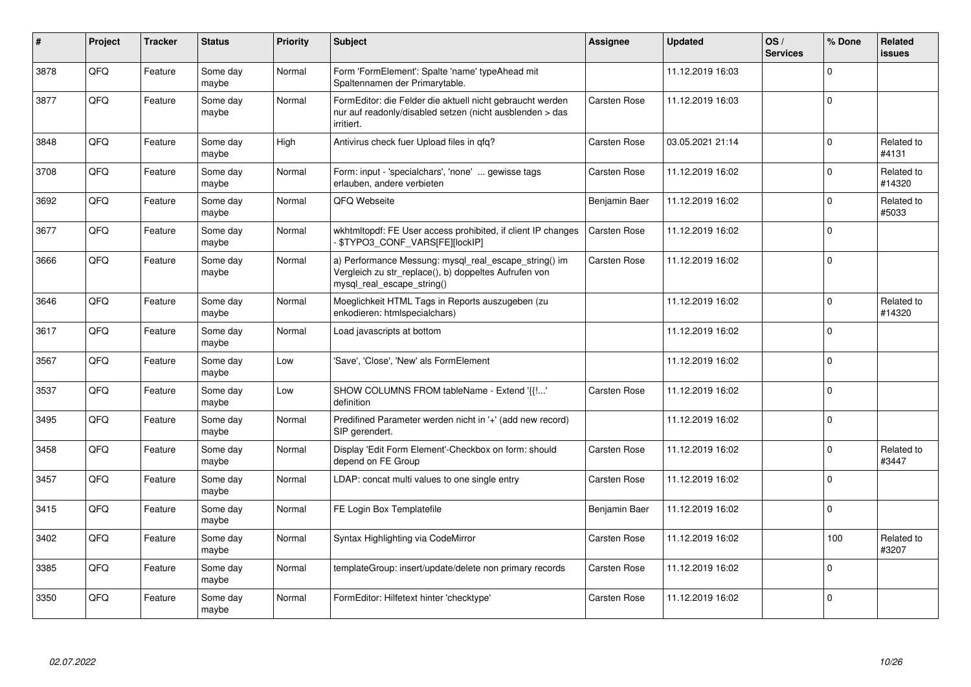| $\sharp$ | Project | <b>Tracker</b> | <b>Status</b>     | <b>Priority</b> | <b>Subject</b>                                                                                                                               | Assignee            | <b>Updated</b>   | OS/<br><b>Services</b> | % Done      | Related<br><b>issues</b> |
|----------|---------|----------------|-------------------|-----------------|----------------------------------------------------------------------------------------------------------------------------------------------|---------------------|------------------|------------------------|-------------|--------------------------|
| 3878     | QFQ     | Feature        | Some day<br>maybe | Normal          | Form 'FormElement': Spalte 'name' typeAhead mit<br>Spaltennamen der Primarytable.                                                            |                     | 11.12.2019 16:03 |                        | $\Omega$    |                          |
| 3877     | QFQ     | Feature        | Some day<br>maybe | Normal          | FormEditor: die Felder die aktuell nicht gebraucht werden<br>nur auf readonly/disabled setzen (nicht ausblenden > das<br>irritiert.          | <b>Carsten Rose</b> | 11.12.2019 16:03 |                        | $\pmb{0}$   |                          |
| 3848     | QFQ     | Feature        | Some day<br>maybe | High            | Antivirus check fuer Upload files in qfq?                                                                                                    | <b>Carsten Rose</b> | 03.05.2021 21:14 |                        | $\mathbf 0$ | Related to<br>#4131      |
| 3708     | QFQ     | Feature        | Some day<br>maybe | Normal          | Form: input - 'specialchars', 'none'  gewisse tags<br>erlauben, andere verbieten                                                             | Carsten Rose        | 11.12.2019 16:02 |                        | $\mathbf 0$ | Related to<br>#14320     |
| 3692     | QFQ     | Feature        | Some day<br>maybe | Normal          | QFQ Webseite                                                                                                                                 | Benjamin Baer       | 11.12.2019 16:02 |                        | $\mathsf 0$ | Related to<br>#5033      |
| 3677     | QFQ     | Feature        | Some day<br>maybe | Normal          | wkhtmltopdf: FE User access prohibited, if client IP changes<br>\$TYPO3_CONF_VARS[FE][locklP]                                                | <b>Carsten Rose</b> | 11.12.2019 16:02 |                        | $\mathbf 0$ |                          |
| 3666     | QFQ     | Feature        | Some day<br>maybe | Normal          | a) Performance Messung: mysql_real_escape_string() im<br>Vergleich zu str_replace(), b) doppeltes Aufrufen von<br>mysql_real_escape_string() | Carsten Rose        | 11.12.2019 16:02 |                        | $\mathbf 0$ |                          |
| 3646     | QFQ     | Feature        | Some day<br>maybe | Normal          | Moeglichkeit HTML Tags in Reports auszugeben (zu<br>enkodieren: htmlspecialchars)                                                            |                     | 11.12.2019 16:02 |                        | $\mathbf 0$ | Related to<br>#14320     |
| 3617     | QFQ     | Feature        | Some day<br>maybe | Normal          | Load javascripts at bottom                                                                                                                   |                     | 11.12.2019 16:02 |                        | $\Omega$    |                          |
| 3567     | QFQ     | Feature        | Some day<br>maybe | Low             | 'Save', 'Close', 'New' als FormElement                                                                                                       |                     | 11.12.2019 16:02 |                        | $\mathsf 0$ |                          |
| 3537     | QFQ     | Feature        | Some day<br>maybe | Low             | SHOW COLUMNS FROM tableName - Extend '{{!'<br>definition                                                                                     | <b>Carsten Rose</b> | 11.12.2019 16:02 |                        | $\mathbf 0$ |                          |
| 3495     | QFQ     | Feature        | Some day<br>maybe | Normal          | Predifined Parameter werden nicht in '+' (add new record)<br>SIP gerendert.                                                                  |                     | 11.12.2019 16:02 |                        | $\mathbf 0$ |                          |
| 3458     | QFQ     | Feature        | Some day<br>maybe | Normal          | Display 'Edit Form Element'-Checkbox on form: should<br>depend on FE Group                                                                   | Carsten Rose        | 11.12.2019 16:02 |                        | $\Omega$    | Related to<br>#3447      |
| 3457     | QFQ     | Feature        | Some day<br>maybe | Normal          | LDAP: concat multi values to one single entry                                                                                                | Carsten Rose        | 11.12.2019 16:02 |                        | $\Omega$    |                          |
| 3415     | QFQ     | Feature        | Some day<br>maybe | Normal          | FE Login Box Templatefile                                                                                                                    | Benjamin Baer       | 11.12.2019 16:02 |                        | $\mathsf 0$ |                          |
| 3402     | QFQ     | Feature        | Some day<br>maybe | Normal          | Syntax Highlighting via CodeMirror                                                                                                           | Carsten Rose        | 11.12.2019 16:02 |                        | 100         | Related to<br>#3207      |
| 3385     | QFQ     | Feature        | Some day<br>maybe | Normal          | templateGroup: insert/update/delete non primary records                                                                                      | Carsten Rose        | 11.12.2019 16:02 |                        | $\mathbf 0$ |                          |
| 3350     | QFQ     | Feature        | Some day<br>maybe | Normal          | FormEditor: Hilfetext hinter 'checktype'                                                                                                     | <b>Carsten Rose</b> | 11.12.2019 16:02 |                        | $\mathbf 0$ |                          |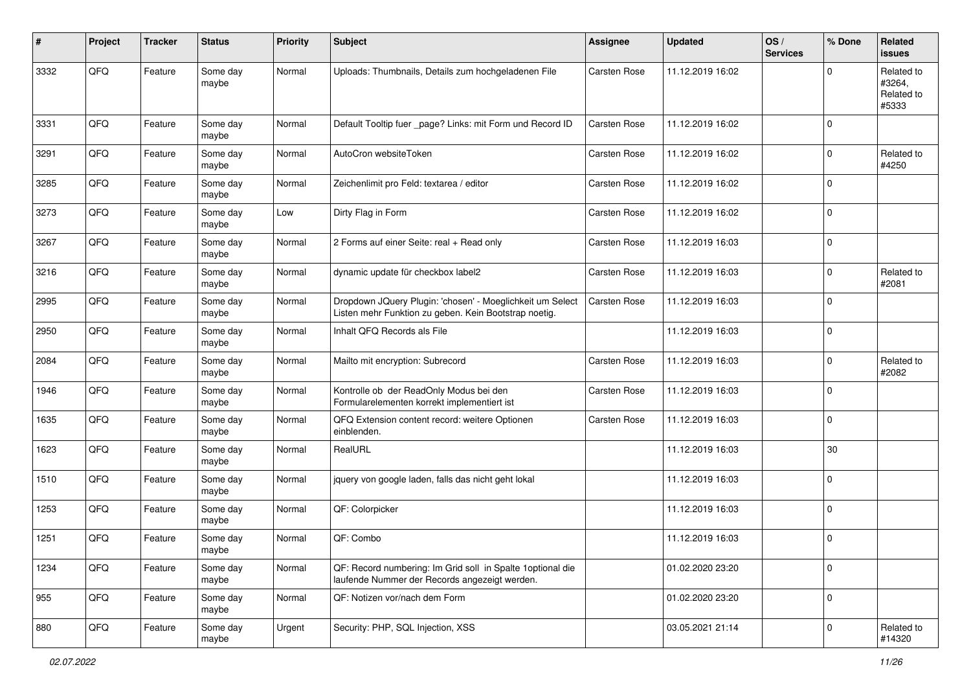| #    | Project | <b>Tracker</b> | <b>Status</b>     | <b>Priority</b> | <b>Subject</b>                                                                                                     | <b>Assignee</b>     | <b>Updated</b>   | OS/<br><b>Services</b> | % Done      | Related<br><b>issues</b>                    |
|------|---------|----------------|-------------------|-----------------|--------------------------------------------------------------------------------------------------------------------|---------------------|------------------|------------------------|-------------|---------------------------------------------|
| 3332 | QFQ     | Feature        | Some day<br>maybe | Normal          | Uploads: Thumbnails, Details zum hochgeladenen File                                                                | Carsten Rose        | 11.12.2019 16:02 |                        | $\Omega$    | Related to<br>#3264,<br>Related to<br>#5333 |
| 3331 | QFQ     | Feature        | Some day<br>maybe | Normal          | Default Tooltip fuer _page? Links: mit Form und Record ID                                                          | Carsten Rose        | 11.12.2019 16:02 |                        | $\mathbf 0$ |                                             |
| 3291 | QFQ     | Feature        | Some day<br>maybe | Normal          | AutoCron websiteToken                                                                                              | Carsten Rose        | 11.12.2019 16:02 |                        | $\mathbf 0$ | Related to<br>#4250                         |
| 3285 | QFQ     | Feature        | Some day<br>maybe | Normal          | Zeichenlimit pro Feld: textarea / editor                                                                           | Carsten Rose        | 11.12.2019 16:02 |                        | $\mathbf 0$ |                                             |
| 3273 | QFQ     | Feature        | Some day<br>maybe | Low             | Dirty Flag in Form                                                                                                 | Carsten Rose        | 11.12.2019 16:02 |                        | $\mathbf 0$ |                                             |
| 3267 | QFQ     | Feature        | Some day<br>maybe | Normal          | 2 Forms auf einer Seite: real + Read only                                                                          | <b>Carsten Rose</b> | 11.12.2019 16:03 |                        | $\mathbf 0$ |                                             |
| 3216 | QFQ     | Feature        | Some day<br>maybe | Normal          | dynamic update für checkbox label2                                                                                 | Carsten Rose        | 11.12.2019 16:03 |                        | $\mathbf 0$ | Related to<br>#2081                         |
| 2995 | QFQ     | Feature        | Some day<br>maybe | Normal          | Dropdown JQuery Plugin: 'chosen' - Moeglichkeit um Select<br>Listen mehr Funktion zu geben. Kein Bootstrap noetig. | Carsten Rose        | 11.12.2019 16:03 |                        | $\mathbf 0$ |                                             |
| 2950 | QFQ     | Feature        | Some day<br>maybe | Normal          | Inhalt QFQ Records als File                                                                                        |                     | 11.12.2019 16:03 |                        | $\mathbf 0$ |                                             |
| 2084 | QFQ     | Feature        | Some day<br>maybe | Normal          | Mailto mit encryption: Subrecord                                                                                   | Carsten Rose        | 11.12.2019 16:03 |                        | $\mathbf 0$ | Related to<br>#2082                         |
| 1946 | QFQ     | Feature        | Some day<br>maybe | Normal          | Kontrolle ob der ReadOnly Modus bei den<br>Formularelementen korrekt implementiert ist                             | Carsten Rose        | 11.12.2019 16:03 |                        | $\mathbf 0$ |                                             |
| 1635 | QFQ     | Feature        | Some day<br>maybe | Normal          | QFQ Extension content record: weitere Optionen<br>einblenden.                                                      | <b>Carsten Rose</b> | 11.12.2019 16:03 |                        | $\mathbf 0$ |                                             |
| 1623 | QFQ     | Feature        | Some day<br>maybe | Normal          | RealURL                                                                                                            |                     | 11.12.2019 16:03 |                        | 30          |                                             |
| 1510 | QFQ     | Feature        | Some day<br>maybe | Normal          | jquery von google laden, falls das nicht geht lokal                                                                |                     | 11.12.2019 16:03 |                        | $\mathbf 0$ |                                             |
| 1253 | QFQ     | Feature        | Some day<br>maybe | Normal          | QF: Colorpicker                                                                                                    |                     | 11.12.2019 16:03 |                        | $\mathbf 0$ |                                             |
| 1251 | QFQ     | Feature        | Some day<br>maybe | Normal          | QF: Combo                                                                                                          |                     | 11.12.2019 16:03 |                        | $\mathbf 0$ |                                             |
| 1234 | QFQ     | Feature        | Some day<br>maybe | Normal          | QF: Record numbering: Im Grid soll in Spalte 1 optional die<br>laufende Nummer der Records angezeigt werden.       |                     | 01.02.2020 23:20 |                        | $\mathbf 0$ |                                             |
| 955  | QFQ     | Feature        | Some day<br>maybe | Normal          | QF: Notizen vor/nach dem Form                                                                                      |                     | 01.02.2020 23:20 |                        | $\mathbf 0$ |                                             |
| 880  | QFQ     | Feature        | Some day<br>maybe | Urgent          | Security: PHP, SQL Injection, XSS                                                                                  |                     | 03.05.2021 21:14 |                        | $\pmb{0}$   | Related to<br>#14320                        |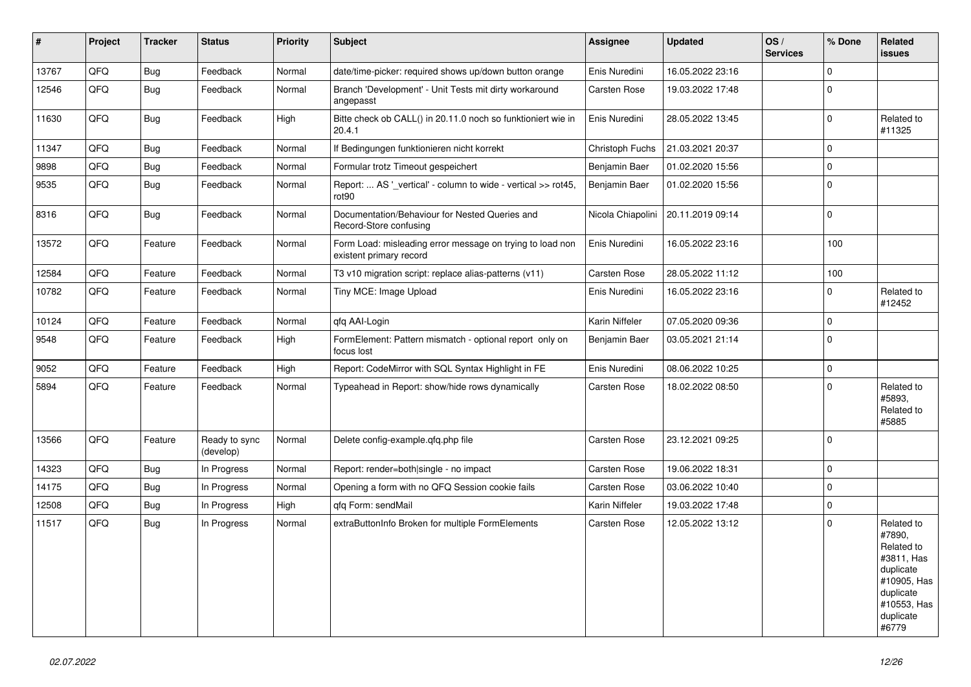| #     | Project | <b>Tracker</b> | <b>Status</b>              | <b>Priority</b> | <b>Subject</b>                                                                       | <b>Assignee</b>     | <b>Updated</b>                       | OS/<br><b>Services</b> | % Done         | Related<br><b>issues</b>                                                                                                       |
|-------|---------|----------------|----------------------------|-----------------|--------------------------------------------------------------------------------------|---------------------|--------------------------------------|------------------------|----------------|--------------------------------------------------------------------------------------------------------------------------------|
| 13767 | QFQ     | <b>Bug</b>     | Feedback                   | Normal          | date/time-picker: required shows up/down button orange                               | Enis Nuredini       | 16.05.2022 23:16                     |                        | $\mathbf 0$    |                                                                                                                                |
| 12546 | QFQ     | Bug            | Feedback                   | Normal          | Branch 'Development' - Unit Tests mit dirty workaround<br>angepasst                  | Carsten Rose        | 19.03.2022 17:48                     |                        | $\Omega$       |                                                                                                                                |
| 11630 | QFQ     | <b>Bug</b>     | Feedback                   | High            | Bitte check ob CALL() in 20.11.0 noch so funktioniert wie in<br>20.4.1               | Enis Nuredini       | 28.05.2022 13:45                     |                        | $\Omega$       | Related to<br>#11325                                                                                                           |
| 11347 | QFQ     | <b>Bug</b>     | Feedback                   | Normal          | If Bedingungen funktionieren nicht korrekt                                           | Christoph Fuchs     | 21.03.2021 20:37                     |                        | $\Omega$       |                                                                                                                                |
| 9898  | QFQ     | Bug            | Feedback                   | Normal          | Formular trotz Timeout gespeichert                                                   | Benjamin Baer       | 01.02.2020 15:56                     |                        | $\Omega$       |                                                                                                                                |
| 9535  | QFQ     | Bug            | Feedback                   | Normal          | Report:  AS '_vertical' - column to wide - vertical >> rot45,<br>rot <sub>90</sub>   | Benjamin Baer       | 01.02.2020 15:56                     |                        | $\Omega$       |                                                                                                                                |
| 8316  | QFQ     | <b>Bug</b>     | Feedback                   | Normal          | Documentation/Behaviour for Nested Queries and<br>Record-Store confusing             |                     | Nicola Chiapolini   20.11.2019 09:14 |                        | $\mathbf 0$    |                                                                                                                                |
| 13572 | QFQ     | Feature        | Feedback                   | Normal          | Form Load: misleading error message on trying to load non<br>existent primary record | Enis Nuredini       | 16.05.2022 23:16                     |                        | 100            |                                                                                                                                |
| 12584 | QFQ     | Feature        | Feedback                   | Normal          | T3 v10 migration script: replace alias-patterns (v11)                                | Carsten Rose        | 28.05.2022 11:12                     |                        | 100            |                                                                                                                                |
| 10782 | QFQ     | Feature        | Feedback                   | Normal          | Tiny MCE: Image Upload                                                               | Enis Nuredini       | 16.05.2022 23:16                     |                        | $\mathbf 0$    | Related to<br>#12452                                                                                                           |
| 10124 | QFQ     | Feature        | Feedback                   | Normal          | qfq AAI-Login                                                                        | Karin Niffeler      | 07.05.2020 09:36                     |                        | $\Omega$       |                                                                                                                                |
| 9548  | QFQ     | Feature        | Feedback                   | High            | FormElement: Pattern mismatch - optional report only on<br>focus lost                | Benjamin Baer       | 03.05.2021 21:14                     |                        | $\mathbf 0$    |                                                                                                                                |
| 9052  | QFQ     | Feature        | Feedback                   | High            | Report: CodeMirror with SQL Syntax Highlight in FE                                   | Enis Nuredini       | 08.06.2022 10:25                     |                        | $\Omega$       |                                                                                                                                |
| 5894  | QFQ     | Feature        | Feedback                   | Normal          | Typeahead in Report: show/hide rows dynamically                                      | Carsten Rose        | 18.02.2022 08:50                     |                        | $\Omega$       | Related to<br>#5893,<br>Related to<br>#5885                                                                                    |
| 13566 | QFQ     | Feature        | Ready to sync<br>(develop) | Normal          | Delete config-example.qfq.php file                                                   | <b>Carsten Rose</b> | 23.12.2021 09:25                     |                        | $\overline{0}$ |                                                                                                                                |
| 14323 | QFQ     | <b>Bug</b>     | In Progress                | Normal          | Report: render=both single - no impact                                               | Carsten Rose        | 19.06.2022 18:31                     |                        | $\mathbf 0$    |                                                                                                                                |
| 14175 | QFQ     | Bug            | In Progress                | Normal          | Opening a form with no QFQ Session cookie fails                                      | Carsten Rose        | 03.06.2022 10:40                     |                        | $\mathbf 0$    |                                                                                                                                |
| 12508 | QFQ     | Bug            | In Progress                | High            | qfq Form: sendMail                                                                   | Karin Niffeler      | 19.03.2022 17:48                     |                        | $\Omega$       |                                                                                                                                |
| 11517 | QFQ     | Bug            | In Progress                | Normal          | extraButtonInfo Broken for multiple FormElements                                     | <b>Carsten Rose</b> | 12.05.2022 13:12                     |                        | $\Omega$       | Related to<br>#7890,<br>Related to<br>#3811, Has<br>duplicate<br>#10905, Has<br>duplicate<br>#10553, Has<br>duplicate<br>#6779 |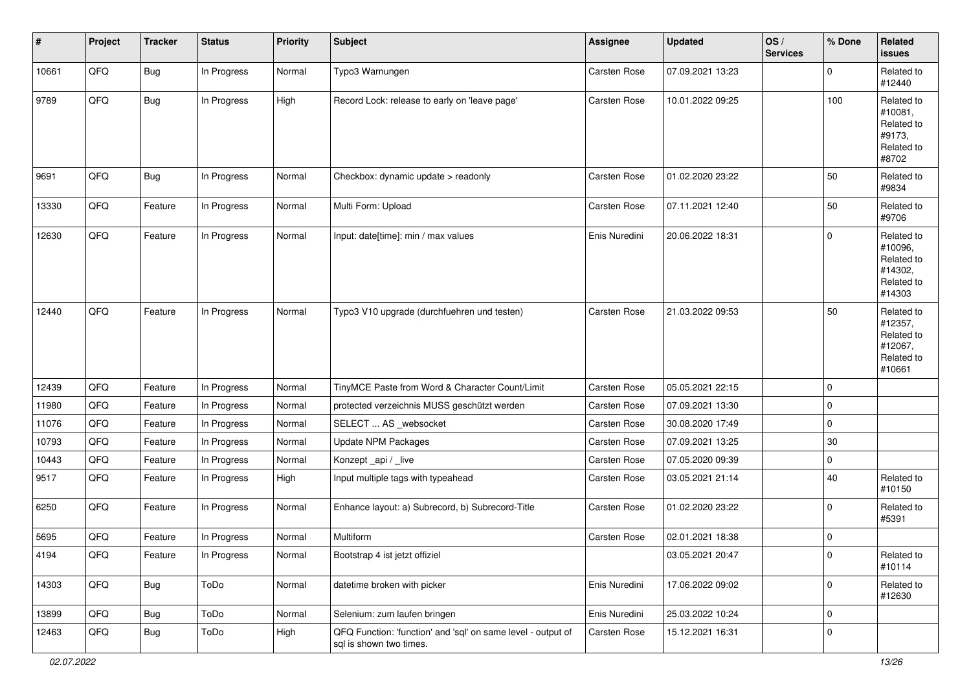| #     | Project | <b>Tracker</b> | <b>Status</b> | <b>Priority</b> | <b>Subject</b>                                                                          | Assignee      | <b>Updated</b>   | OS/<br><b>Services</b> | % Done              | Related<br><b>issues</b>                                               |
|-------|---------|----------------|---------------|-----------------|-----------------------------------------------------------------------------------------|---------------|------------------|------------------------|---------------------|------------------------------------------------------------------------|
| 10661 | QFQ     | Bug            | In Progress   | Normal          | Typo3 Warnungen                                                                         | Carsten Rose  | 07.09.2021 13:23 |                        | $\mathbf 0$         | Related to<br>#12440                                                   |
| 9789  | QFQ     | Bug            | In Progress   | High            | Record Lock: release to early on 'leave page'                                           | Carsten Rose  | 10.01.2022 09:25 |                        | 100                 | Related to<br>#10081,<br>Related to<br>#9173,<br>Related to<br>#8702   |
| 9691  | QFQ     | <b>Bug</b>     | In Progress   | Normal          | Checkbox: dynamic update > readonly                                                     | Carsten Rose  | 01.02.2020 23:22 |                        | 50                  | Related to<br>#9834                                                    |
| 13330 | QFQ     | Feature        | In Progress   | Normal          | Multi Form: Upload                                                                      | Carsten Rose  | 07.11.2021 12:40 |                        | 50                  | Related to<br>#9706                                                    |
| 12630 | QFQ     | Feature        | In Progress   | Normal          | Input: date[time]: min / max values                                                     | Enis Nuredini | 20.06.2022 18:31 |                        | $\mathbf 0$         | Related to<br>#10096,<br>Related to<br>#14302,<br>Related to<br>#14303 |
| 12440 | QFQ     | Feature        | In Progress   | Normal          | Typo3 V10 upgrade (durchfuehren und testen)                                             | Carsten Rose  | 21.03.2022 09:53 |                        | 50                  | Related to<br>#12357,<br>Related to<br>#12067,<br>Related to<br>#10661 |
| 12439 | QFQ     | Feature        | In Progress   | Normal          | TinyMCE Paste from Word & Character Count/Limit                                         | Carsten Rose  | 05.05.2021 22:15 |                        | $\mathbf 0$         |                                                                        |
| 11980 | QFQ     | Feature        | In Progress   | Normal          | protected verzeichnis MUSS geschützt werden                                             | Carsten Rose  | 07.09.2021 13:30 |                        | $\mathbf 0$         |                                                                        |
| 11076 | QFQ     | Feature        | In Progress   | Normal          | SELECT  AS _websocket                                                                   | Carsten Rose  | 30.08.2020 17:49 |                        | $\mathbf 0$         |                                                                        |
| 10793 | QFQ     | Feature        | In Progress   | Normal          | Update NPM Packages                                                                     | Carsten Rose  | 07.09.2021 13:25 |                        | 30                  |                                                                        |
| 10443 | QFQ     | Feature        | In Progress   | Normal          | Konzept_api / _live                                                                     | Carsten Rose  | 07.05.2020 09:39 |                        | $\mathbf 0$         |                                                                        |
| 9517  | QFQ     | Feature        | In Progress   | High            | Input multiple tags with typeahead                                                      | Carsten Rose  | 03.05.2021 21:14 |                        | 40                  | Related to<br>#10150                                                   |
| 6250  | QFQ     | Feature        | In Progress   | Normal          | Enhance layout: a) Subrecord, b) Subrecord-Title                                        | Carsten Rose  | 01.02.2020 23:22 |                        | $\mathbf 0$         | Related to<br>#5391                                                    |
| 5695  | QFQ     | Feature        | In Progress   | Normal          | Multiform                                                                               | Carsten Rose  | 02.01.2021 18:38 |                        | $\pmb{0}$           |                                                                        |
| 4194  | QFQ     | Feature        | In Progress   | Normal          | Bootstrap 4 ist jetzt offiziel                                                          |               | 03.05.2021 20:47 |                        | 0                   | Related to<br>#10114                                                   |
| 14303 | QFQ     | Bug            | ToDo          | Normal          | datetime broken with picker                                                             | Enis Nuredini | 17.06.2022 09:02 |                        | $\mathbf 0$         | Related to<br>#12630                                                   |
| 13899 | QFQ     | Bug            | ToDo          | Normal          | Selenium: zum laufen bringen                                                            | Enis Nuredini | 25.03.2022 10:24 |                        | $\mathsf{O}\xspace$ |                                                                        |
| 12463 | QFQ     | Bug            | ToDo          | High            | QFQ Function: 'function' and 'sql' on same level - output of<br>sql is shown two times. | Carsten Rose  | 15.12.2021 16:31 |                        | 0                   |                                                                        |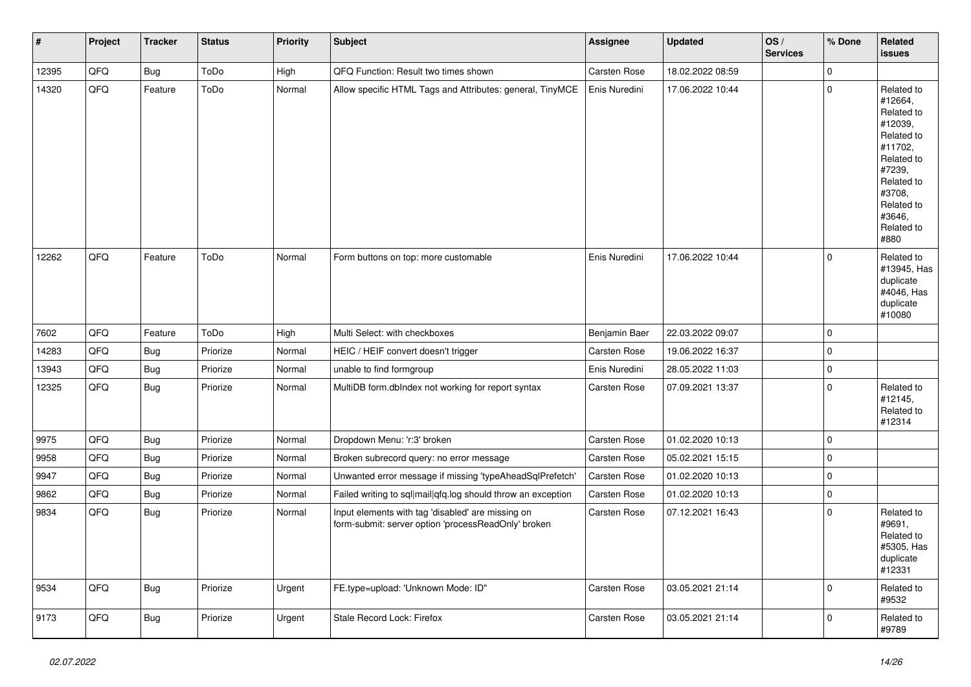| $\vert$ # | Project | <b>Tracker</b> | <b>Status</b> | <b>Priority</b> | Subject                                                                                                  | Assignee      | <b>Updated</b>   | OS/<br><b>Services</b> | % Done      | Related<br><b>issues</b>                                                                                                                                              |
|-----------|---------|----------------|---------------|-----------------|----------------------------------------------------------------------------------------------------------|---------------|------------------|------------------------|-------------|-----------------------------------------------------------------------------------------------------------------------------------------------------------------------|
| 12395     | QFQ     | <b>Bug</b>     | ToDo          | High            | QFQ Function: Result two times shown                                                                     | Carsten Rose  | 18.02.2022 08:59 |                        | $\pmb{0}$   |                                                                                                                                                                       |
| 14320     | QFQ     | Feature        | ToDo          | Normal          | Allow specific HTML Tags and Attributes: general, TinyMCE                                                | Enis Nuredini | 17.06.2022 10:44 |                        | $\pmb{0}$   | Related to<br>#12664,<br>Related to<br>#12039,<br>Related to<br>#11702,<br>Related to<br>#7239,<br>Related to<br>#3708,<br>Related to<br>#3646.<br>Related to<br>#880 |
| 12262     | QFQ     | Feature        | ToDo          | Normal          | Form buttons on top: more customable                                                                     | Enis Nuredini | 17.06.2022 10:44 |                        | $\mathbf 0$ | Related to<br>#13945, Has<br>duplicate<br>#4046, Has<br>duplicate<br>#10080                                                                                           |
| 7602      | QFQ     | Feature        | ToDo          | High            | Multi Select: with checkboxes                                                                            | Benjamin Baer | 22.03.2022 09:07 |                        | $\mathbf 0$ |                                                                                                                                                                       |
| 14283     | QFQ     | <b>Bug</b>     | Priorize      | Normal          | HEIC / HEIF convert doesn't trigger                                                                      | Carsten Rose  | 19.06.2022 16:37 |                        | $\mathbf 0$ |                                                                                                                                                                       |
| 13943     | QFQ     | <b>Bug</b>     | Priorize      | Normal          | unable to find formgroup                                                                                 | Enis Nuredini | 28.05.2022 11:03 |                        | $\pmb{0}$   |                                                                                                                                                                       |
| 12325     | QFQ     | <b>Bug</b>     | Priorize      | Normal          | MultiDB form.dblndex not working for report syntax                                                       | Carsten Rose  | 07.09.2021 13:37 |                        | $\pmb{0}$   | Related to<br>#12145,<br>Related to<br>#12314                                                                                                                         |
| 9975      | QFQ     | <b>Bug</b>     | Priorize      | Normal          | Dropdown Menu: 'r:3' broken                                                                              | Carsten Rose  | 01.02.2020 10:13 |                        | $\pmb{0}$   |                                                                                                                                                                       |
| 9958      | QFQ     | <b>Bug</b>     | Priorize      | Normal          | Broken subrecord query: no error message                                                                 | Carsten Rose  | 05.02.2021 15:15 |                        | $\mathbf 0$ |                                                                                                                                                                       |
| 9947      | QFQ     | <b>Bug</b>     | Priorize      | Normal          | Unwanted error message if missing 'typeAheadSqlPrefetch'                                                 | Carsten Rose  | 01.02.2020 10:13 |                        | $\pmb{0}$   |                                                                                                                                                                       |
| 9862      | QFQ     | <b>Bug</b>     | Priorize      | Normal          | Failed writing to sql mail qfq.log should throw an exception                                             | Carsten Rose  | 01.02.2020 10:13 |                        | $\pmb{0}$   |                                                                                                                                                                       |
| 9834      | QFQ     | <b>Bug</b>     | Priorize      | Normal          | Input elements with tag 'disabled' are missing on<br>form-submit: server option 'processReadOnly' broken | Carsten Rose  | 07.12.2021 16:43 |                        | $\mathbf 0$ | Related to<br>#9691,<br>Related to<br>#5305, Has<br>duplicate<br>#12331                                                                                               |
| 9534      | QFQ     | <b>Bug</b>     | Priorize      | Urgent          | FE.type=upload: 'Unknown Mode: ID"                                                                       | Carsten Rose  | 03.05.2021 21:14 |                        | $\mathbf 0$ | Related to<br>#9532                                                                                                                                                   |
| 9173      | QFQ     | <b>Bug</b>     | Priorize      | Urgent          | Stale Record Lock: Firefox                                                                               | Carsten Rose  | 03.05.2021 21:14 |                        | $\mathbf 0$ | Related to<br>#9789                                                                                                                                                   |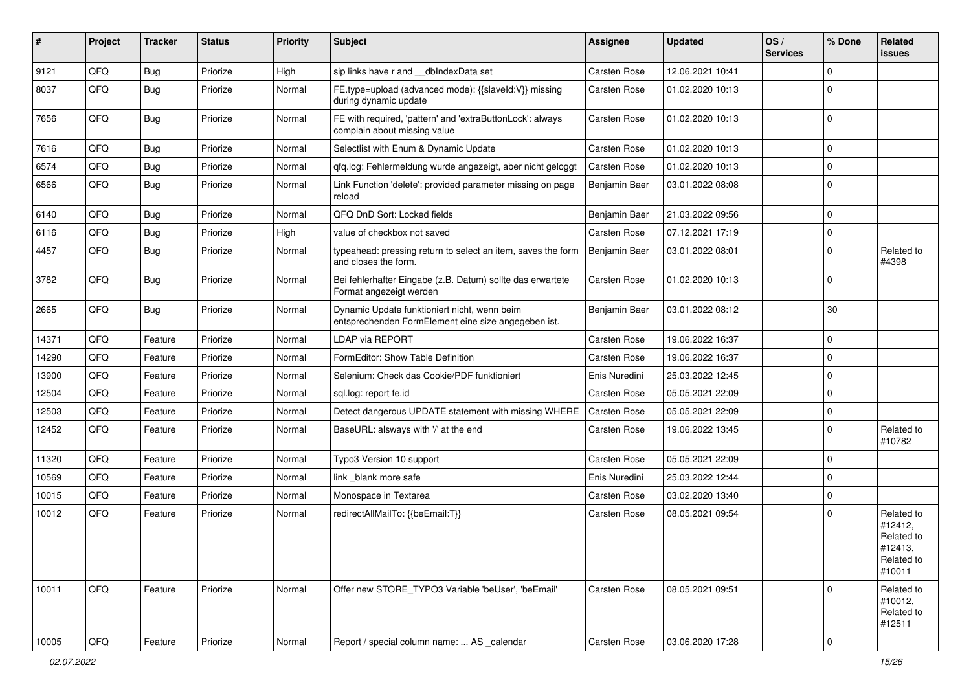| #     | Project | <b>Tracker</b> | <b>Status</b> | <b>Priority</b> | Subject                                                                                             | <b>Assignee</b>     | <b>Updated</b>   | OS/<br><b>Services</b> | % Done      | Related<br>issues                                                      |
|-------|---------|----------------|---------------|-----------------|-----------------------------------------------------------------------------------------------------|---------------------|------------------|------------------------|-------------|------------------------------------------------------------------------|
| 9121  | QFQ     | <b>Bug</b>     | Priorize      | High            | sip links have r and __dbIndexData set                                                              | Carsten Rose        | 12.06.2021 10:41 |                        | 0           |                                                                        |
| 8037  | QFQ     | <b>Bug</b>     | Priorize      | Normal          | FE.type=upload (advanced mode): {{slaveId:V}} missing<br>during dynamic update                      | <b>Carsten Rose</b> | 01.02.2020 10:13 |                        | $\Omega$    |                                                                        |
| 7656  | QFQ     | <b>Bug</b>     | Priorize      | Normal          | FE with required, 'pattern' and 'extraButtonLock': always<br>complain about missing value           | <b>Carsten Rose</b> | 01.02.2020 10:13 |                        | $\Omega$    |                                                                        |
| 7616  | QFQ     | <b>Bug</b>     | Priorize      | Normal          | Selectlist with Enum & Dynamic Update                                                               | Carsten Rose        | 01.02.2020 10:13 |                        | $\Omega$    |                                                                        |
| 6574  | QFQ     | Bug            | Priorize      | Normal          | qfq.log: Fehlermeldung wurde angezeigt, aber nicht geloggt                                          | <b>Carsten Rose</b> | 01.02.2020 10:13 |                        | $\Omega$    |                                                                        |
| 6566  | QFQ     | <b>Bug</b>     | Priorize      | Normal          | Link Function 'delete': provided parameter missing on page<br>reload                                | Benjamin Baer       | 03.01.2022 08:08 |                        | $\Omega$    |                                                                        |
| 6140  | QFQ     | <b>Bug</b>     | Priorize      | Normal          | QFQ DnD Sort: Locked fields                                                                         | Benjamin Baer       | 21.03.2022 09:56 |                        | $\Omega$    |                                                                        |
| 6116  | QFQ     | <b>Bug</b>     | Priorize      | High            | value of checkbox not saved                                                                         | <b>Carsten Rose</b> | 07.12.2021 17:19 |                        | $\Omega$    |                                                                        |
| 4457  | QFQ     | <b>Bug</b>     | Priorize      | Normal          | typeahead: pressing return to select an item, saves the form<br>and closes the form.                | Benjamin Baer       | 03.01.2022 08:01 |                        | 0           | Related to<br>#4398                                                    |
| 3782  | QFQ     | <b>Bug</b>     | Priorize      | Normal          | Bei fehlerhafter Eingabe (z.B. Datum) sollte das erwartete<br>Format angezeigt werden               | <b>Carsten Rose</b> | 01.02.2020 10:13 |                        | $\Omega$    |                                                                        |
| 2665  | QFQ     | <b>Bug</b>     | Priorize      | Normal          | Dynamic Update funktioniert nicht, wenn beim<br>entsprechenden FormElement eine size angegeben ist. | Benjamin Baer       | 03.01.2022 08:12 |                        | 30          |                                                                        |
| 14371 | QFQ     | Feature        | Priorize      | Normal          | LDAP via REPORT                                                                                     | <b>Carsten Rose</b> | 19.06.2022 16:37 |                        | $\Omega$    |                                                                        |
| 14290 | QFQ     | Feature        | Priorize      | Normal          | FormEditor: Show Table Definition                                                                   | Carsten Rose        | 19.06.2022 16:37 |                        | 0           |                                                                        |
| 13900 | QFQ     | Feature        | Priorize      | Normal          | Selenium: Check das Cookie/PDF funktioniert                                                         | Enis Nuredini       | 25.03.2022 12:45 |                        | 0           |                                                                        |
| 12504 | QFQ     | Feature        | Priorize      | Normal          | sql.log: report fe.id                                                                               | <b>Carsten Rose</b> | 05.05.2021 22:09 |                        | $\Omega$    |                                                                        |
| 12503 | QFQ     | Feature        | Priorize      | Normal          | Detect dangerous UPDATE statement with missing WHERE                                                | Carsten Rose        | 05.05.2021 22:09 |                        | $\Omega$    |                                                                        |
| 12452 | QFQ     | Feature        | Priorize      | Normal          | BaseURL: alsways with '/' at the end                                                                | <b>Carsten Rose</b> | 19.06.2022 13:45 |                        | $\Omega$    | Related to<br>#10782                                                   |
| 11320 | QFQ     | Feature        | Priorize      | Normal          | Typo3 Version 10 support                                                                            | <b>Carsten Rose</b> | 05.05.2021 22:09 |                        | $\Omega$    |                                                                        |
| 10569 | QFQ     | Feature        | Priorize      | Normal          | link blank more safe                                                                                | Enis Nuredini       | 25.03.2022 12:44 |                        | $\mathbf 0$ |                                                                        |
| 10015 | QFQ     | Feature        | Priorize      | Normal          | Monospace in Textarea                                                                               | <b>Carsten Rose</b> | 03.02.2020 13:40 |                        | $\Omega$    |                                                                        |
| 10012 | QFQ     | Feature        | Priorize      | Normal          | redirectAllMailTo: {{beEmail:T}}                                                                    | <b>Carsten Rose</b> | 08.05.2021 09:54 |                        | 0           | Related to<br>#12412,<br>Related to<br>#12413,<br>Related to<br>#10011 |
| 10011 | QFQ     | Feature        | Priorize      | Normal          | Offer new STORE_TYPO3 Variable 'beUser', 'beEmail'                                                  | Carsten Rose        | 08.05.2021 09:51 |                        | $\Omega$    | Related to<br>#10012,<br>Related to<br>#12511                          |
| 10005 | QFQ     | Feature        | Priorize      | Normal          | Report / special column name:  AS _calendar                                                         | Carsten Rose        | 03.06.2020 17:28 |                        | $\mathbf 0$ |                                                                        |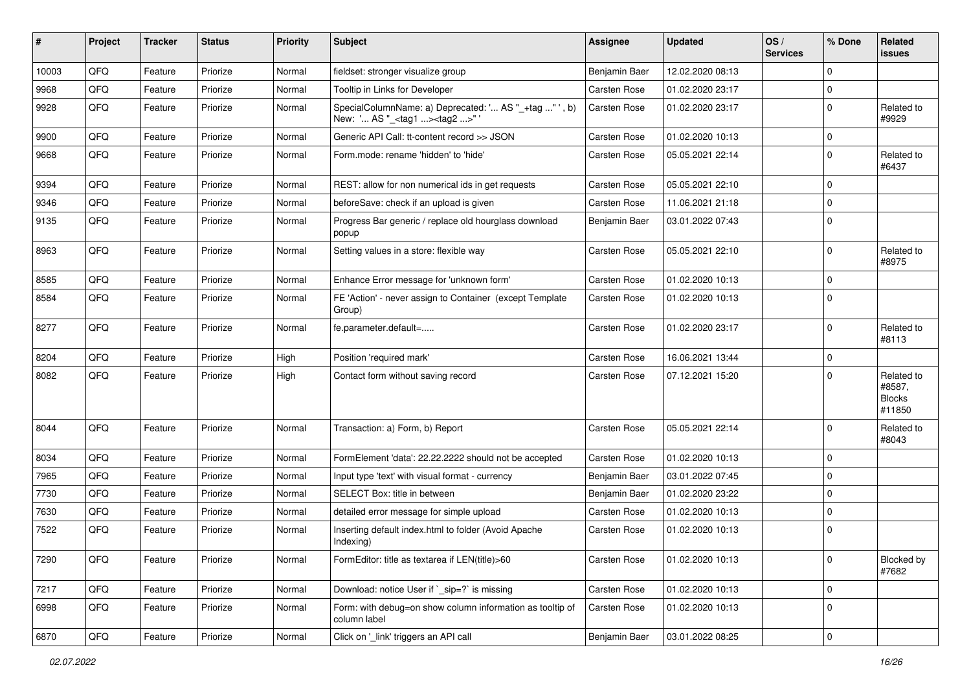| #     | Project        | <b>Tracker</b> | <b>Status</b> | <b>Priority</b> | Subject                                                                                             | Assignee      | <b>Updated</b>   | OS/<br><b>Services</b> | % Done              | Related<br><b>issues</b>                        |
|-------|----------------|----------------|---------------|-----------------|-----------------------------------------------------------------------------------------------------|---------------|------------------|------------------------|---------------------|-------------------------------------------------|
| 10003 | QFQ            | Feature        | Priorize      | Normal          | fieldset: stronger visualize group                                                                  | Benjamin Baer | 12.02.2020 08:13 |                        | $\mathbf 0$         |                                                 |
| 9968  | QFQ            | Feature        | Priorize      | Normal          | Tooltip in Links for Developer                                                                      | Carsten Rose  | 01.02.2020 23:17 |                        | $\mathbf 0$         |                                                 |
| 9928  | QFQ            | Feature        | Priorize      | Normal          | SpecialColumnName: a) Deprecated: ' AS "_+tag " ', b)<br>New: ' AS "_ <tag1><tag2>" '</tag2></tag1> | Carsten Rose  | 01.02.2020 23:17 |                        | $\mathbf 0$         | Related to<br>#9929                             |
| 9900  | QFQ            | Feature        | Priorize      | Normal          | Generic API Call: tt-content record >> JSON                                                         | Carsten Rose  | 01.02.2020 10:13 |                        | $\mathbf 0$         |                                                 |
| 9668  | QFQ            | Feature        | Priorize      | Normal          | Form.mode: rename 'hidden' to 'hide'                                                                | Carsten Rose  | 05.05.2021 22:14 |                        | $\mathbf 0$         | Related to<br>#6437                             |
| 9394  | QFQ            | Feature        | Priorize      | Normal          | REST: allow for non numerical ids in get requests                                                   | Carsten Rose  | 05.05.2021 22:10 |                        | $\mathbf 0$         |                                                 |
| 9346  | QFQ            | Feature        | Priorize      | Normal          | beforeSave: check if an upload is given                                                             | Carsten Rose  | 11.06.2021 21:18 |                        | $\mathbf 0$         |                                                 |
| 9135  | QFQ            | Feature        | Priorize      | Normal          | Progress Bar generic / replace old hourglass download<br>popup                                      | Benjamin Baer | 03.01.2022 07:43 |                        | $\mathbf 0$         |                                                 |
| 8963  | QFQ            | Feature        | Priorize      | Normal          | Setting values in a store: flexible way                                                             | Carsten Rose  | 05.05.2021 22:10 |                        | $\mathbf 0$         | Related to<br>#8975                             |
| 8585  | QFQ            | Feature        | Priorize      | Normal          | Enhance Error message for 'unknown form'                                                            | Carsten Rose  | 01.02.2020 10:13 |                        | $\mathbf 0$         |                                                 |
| 8584  | QFQ            | Feature        | Priorize      | Normal          | FE 'Action' - never assign to Container (except Template<br>Group)                                  | Carsten Rose  | 01.02.2020 10:13 |                        | $\mathbf 0$         |                                                 |
| 8277  | QFQ            | Feature        | Priorize      | Normal          | fe.parameter.default=                                                                               | Carsten Rose  | 01.02.2020 23:17 |                        | $\mathbf 0$         | Related to<br>#8113                             |
| 8204  | QFQ            | Feature        | Priorize      | High            | Position 'required mark'                                                                            | Carsten Rose  | 16.06.2021 13:44 |                        | $\mathbf 0$         |                                                 |
| 8082  | QFQ            | Feature        | Priorize      | High            | Contact form without saving record                                                                  | Carsten Rose  | 07.12.2021 15:20 |                        | $\mathbf 0$         | Related to<br>#8587,<br><b>Blocks</b><br>#11850 |
| 8044  | QFQ            | Feature        | Priorize      | Normal          | Transaction: a) Form, b) Report                                                                     | Carsten Rose  | 05.05.2021 22:14 |                        | $\mathbf 0$         | Related to<br>#8043                             |
| 8034  | QFQ            | Feature        | Priorize      | Normal          | FormElement 'data': 22.22.2222 should not be accepted                                               | Carsten Rose  | 01.02.2020 10:13 |                        | $\mathbf 0$         |                                                 |
| 7965  | QFQ            | Feature        | Priorize      | Normal          | Input type 'text' with visual format - currency                                                     | Benjamin Baer | 03.01.2022 07:45 |                        | $\mathbf 0$         |                                                 |
| 7730  | QFQ            | Feature        | Priorize      | Normal          | SELECT Box: title in between                                                                        | Benjamin Baer | 01.02.2020 23:22 |                        | $\mathbf 0$         |                                                 |
| 7630  | QFQ            | Feature        | Priorize      | Normal          | detailed error message for simple upload                                                            | Carsten Rose  | 01.02.2020 10:13 |                        | $\mathbf 0$         |                                                 |
| 7522  | QFQ            | Feature        | Priorize      | Normal          | Inserting default index.html to folder (Avoid Apache<br>Indexing)                                   | Carsten Rose  | 01.02.2020 10:13 |                        | $\mathbf 0$         |                                                 |
| 7290  | QFQ            | Feature        | Priorize      | Normal          | FormEditor: title as textarea if LEN(title)>60                                                      | Carsten Rose  | 01.02.2020 10:13 |                        | $\mathbf 0$         | Blocked by<br>#7682                             |
| 7217  | QFO            | Feature        | Priorize      | Normal          | Download: notice User if `_sip=?` is missing                                                        | Carsten Rose  | 01.02.2020 10:13 |                        | $\mathbf 0$         |                                                 |
| 6998  | QFQ            | Feature        | Priorize      | Normal          | Form: with debug=on show column information as tooltip of<br>column label                           | Carsten Rose  | 01.02.2020 10:13 |                        | $\mathbf 0$         |                                                 |
| 6870  | $\mathsf{QFQ}$ | Feature        | Priorize      | Normal          | Click on '_link' triggers an API call                                                               | Benjamin Baer | 03.01.2022 08:25 |                        | $\mathsf{O}\xspace$ |                                                 |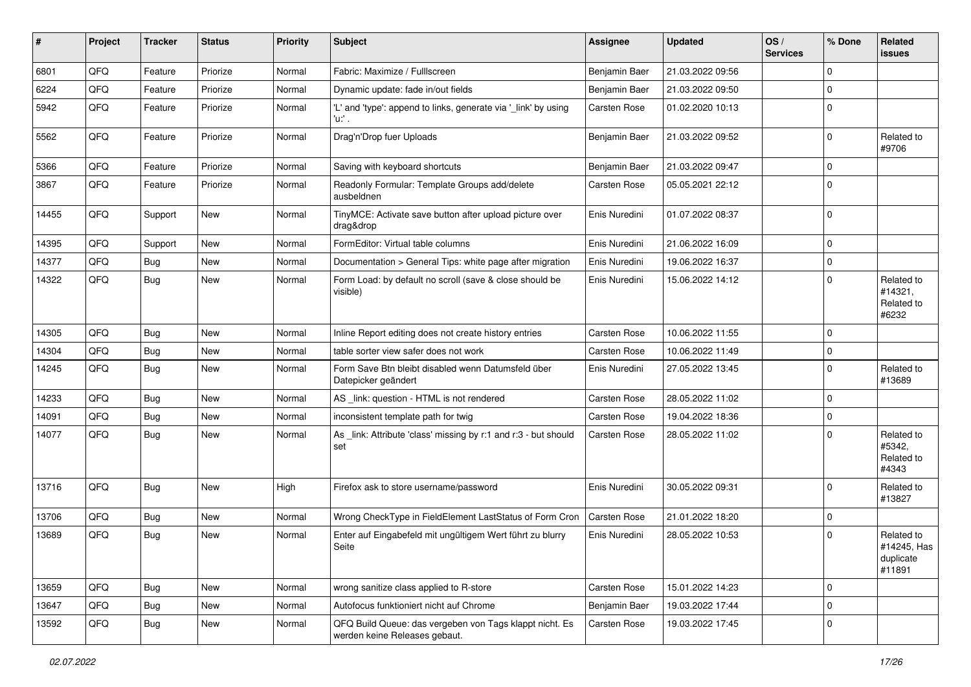| ∦     | Project | <b>Tracker</b> | <b>Status</b> | <b>Priority</b> | <b>Subject</b>                                                                           | Assignee            | <b>Updated</b>   | OS/<br><b>Services</b> | % Done      | Related<br><b>issues</b>                         |
|-------|---------|----------------|---------------|-----------------|------------------------------------------------------------------------------------------|---------------------|------------------|------------------------|-------------|--------------------------------------------------|
| 6801  | QFQ     | Feature        | Priorize      | Normal          | Fabric: Maximize / FullIscreen                                                           | Benjamin Baer       | 21.03.2022 09:56 |                        | $\Omega$    |                                                  |
| 6224  | QFQ     | Feature        | Priorize      | Normal          | Dynamic update: fade in/out fields                                                       | Benjamin Baer       | 21.03.2022 09:50 |                        | $\Omega$    |                                                  |
| 5942  | QFQ     | Feature        | Priorize      | Normal          | 'L' and 'type': append to links, generate via '_link' by using<br>'u:' .                 | Carsten Rose        | 01.02.2020 10:13 |                        | $\Omega$    |                                                  |
| 5562  | QFQ     | Feature        | Priorize      | Normal          | Drag'n'Drop fuer Uploads                                                                 | Benjamin Baer       | 21.03.2022 09:52 |                        | $\Omega$    | Related to<br>#9706                              |
| 5366  | QFQ     | Feature        | Priorize      | Normal          | Saving with keyboard shortcuts                                                           | Benjamin Baer       | 21.03.2022 09:47 |                        | $\Omega$    |                                                  |
| 3867  | QFQ     | Feature        | Priorize      | Normal          | Readonly Formular: Template Groups add/delete<br>ausbeldnen                              | Carsten Rose        | 05.05.2021 22:12 |                        | $\Omega$    |                                                  |
| 14455 | QFQ     | Support        | New           | Normal          | TinyMCE: Activate save button after upload picture over<br>drag&drop                     | Enis Nuredini       | 01.07.2022 08:37 |                        | 0           |                                                  |
| 14395 | QFQ     | Support        | New           | Normal          | FormEditor: Virtual table columns                                                        | Enis Nuredini       | 21.06.2022 16:09 |                        | $\Omega$    |                                                  |
| 14377 | QFQ     | <b>Bug</b>     | New           | Normal          | Documentation > General Tips: white page after migration                                 | Enis Nuredini       | 19.06.2022 16:37 |                        | $\Omega$    |                                                  |
| 14322 | QFQ     | <b>Bug</b>     | New           | Normal          | Form Load: by default no scroll (save & close should be<br>visible)                      | Enis Nuredini       | 15.06.2022 14:12 |                        | 0           | Related to<br>#14321,<br>Related to<br>#6232     |
| 14305 | QFQ     | Bug            | <b>New</b>    | Normal          | Inline Report editing does not create history entries                                    | <b>Carsten Rose</b> | 10.06.2022 11:55 |                        | $\Omega$    |                                                  |
| 14304 | QFQ     | Bug            | New           | Normal          | table sorter view safer does not work                                                    | Carsten Rose        | 10.06.2022 11:49 |                        | $\Omega$    |                                                  |
| 14245 | QFQ     | Bug            | New           | Normal          | Form Save Btn bleibt disabled wenn Datumsfeld über<br>Datepicker geändert                | Enis Nuredini       | 27.05.2022 13:45 |                        | $\Omega$    | Related to<br>#13689                             |
| 14233 | QFQ     | Bug            | New           | Normal          | AS_link: question - HTML is not rendered                                                 | Carsten Rose        | 28.05.2022 11:02 |                        | $\Omega$    |                                                  |
| 14091 | QFQ     | Bug            | <b>New</b>    | Normal          | inconsistent template path for twig                                                      | Carsten Rose        | 19.04.2022 18:36 |                        | $\mathbf 0$ |                                                  |
| 14077 | QFQ     | Bug            | New           | Normal          | As _link: Attribute 'class' missing by r:1 and r:3 - but should<br>set                   | Carsten Rose        | 28.05.2022 11:02 |                        | $\Omega$    | Related to<br>#5342,<br>Related to<br>#4343      |
| 13716 | QFQ     | <b>Bug</b>     | New           | High            | Firefox ask to store username/password                                                   | Enis Nuredini       | 30.05.2022 09:31 |                        | 0           | Related to<br>#13827                             |
| 13706 | QFQ     | Bug            | New           | Normal          | Wrong CheckType in FieldElement LastStatus of Form Cron                                  | <b>Carsten Rose</b> | 21.01.2022 18:20 |                        | $\Omega$    |                                                  |
| 13689 | QFQ     | Bug            | New           | Normal          | Enter auf Eingabefeld mit ungültigem Wert führt zu blurry<br>Seite                       | Enis Nuredini       | 28.05.2022 10:53 |                        | $\Omega$    | Related to<br>#14245, Has<br>duplicate<br>#11891 |
| 13659 | QFQ     | Bug            | New           | Normal          | wrong sanitize class applied to R-store                                                  | Carsten Rose        | 15.01.2022 14:23 |                        | $\mathbf 0$ |                                                  |
| 13647 | QFQ     | <b>Bug</b>     | New           | Normal          | Autofocus funktioniert nicht auf Chrome                                                  | Benjamin Baer       | 19.03.2022 17:44 |                        | $\mathbf 0$ |                                                  |
| 13592 | QFQ     | <b>Bug</b>     | New           | Normal          | QFQ Build Queue: das vergeben von Tags klappt nicht. Es<br>werden keine Releases gebaut. | Carsten Rose        | 19.03.2022 17:45 |                        | 0           |                                                  |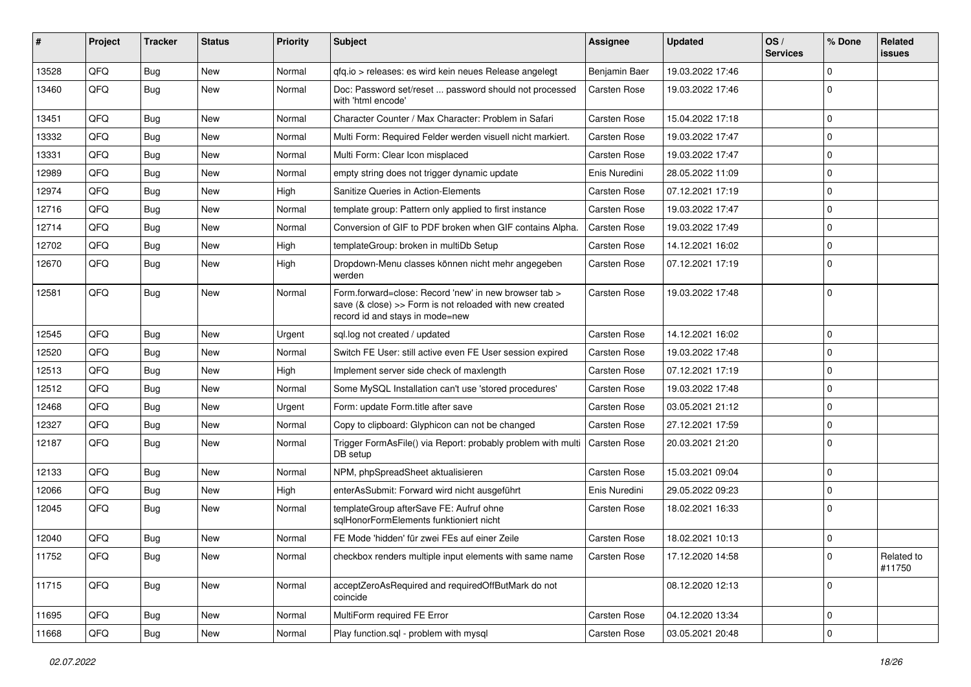| #     | Project | <b>Tracker</b> | <b>Status</b> | <b>Priority</b> | Subject                                                                                                                                             | <b>Assignee</b>     | <b>Updated</b>   | OS/<br><b>Services</b> | % Done      | Related<br><b>issues</b> |
|-------|---------|----------------|---------------|-----------------|-----------------------------------------------------------------------------------------------------------------------------------------------------|---------------------|------------------|------------------------|-------------|--------------------------|
| 13528 | QFQ     | Bug            | New           | Normal          | qfq.io > releases: es wird kein neues Release angelegt                                                                                              | Benjamin Baer       | 19.03.2022 17:46 |                        | 0           |                          |
| 13460 | QFQ     | Bug            | <b>New</b>    | Normal          | Doc: Password set/reset  password should not processed<br>with 'html encode'                                                                        | <b>Carsten Rose</b> | 19.03.2022 17:46 |                        | $\mathbf 0$ |                          |
| 13451 | QFQ     | Bug            | <b>New</b>    | Normal          | Character Counter / Max Character: Problem in Safari                                                                                                | <b>Carsten Rose</b> | 15.04.2022 17:18 |                        | $\mathbf 0$ |                          |
| 13332 | QFQ     | Bug            | <b>New</b>    | Normal          | Multi Form: Required Felder werden visuell nicht markiert.                                                                                          | <b>Carsten Rose</b> | 19.03.2022 17:47 |                        | $\mathbf 0$ |                          |
| 13331 | QFQ     | Bug            | <b>New</b>    | Normal          | Multi Form: Clear Icon misplaced                                                                                                                    | <b>Carsten Rose</b> | 19.03.2022 17:47 |                        | $\mathbf 0$ |                          |
| 12989 | QFQ     | Bug            | <b>New</b>    | Normal          | empty string does not trigger dynamic update                                                                                                        | Enis Nuredini       | 28.05.2022 11:09 |                        | $\mathbf 0$ |                          |
| 12974 | QFQ     | Bug            | New           | High            | Sanitize Queries in Action-Elements                                                                                                                 | <b>Carsten Rose</b> | 07.12.2021 17:19 |                        | $\mathbf 0$ |                          |
| 12716 | QFQ     | <b>Bug</b>     | <b>New</b>    | Normal          | template group: Pattern only applied to first instance                                                                                              | <b>Carsten Rose</b> | 19.03.2022 17:47 |                        | $\mathbf 0$ |                          |
| 12714 | QFQ     | Bug            | <b>New</b>    | Normal          | Conversion of GIF to PDF broken when GIF contains Alpha.                                                                                            | <b>Carsten Rose</b> | 19.03.2022 17:49 |                        | $\mathbf 0$ |                          |
| 12702 | QFQ     | Bug            | <b>New</b>    | High            | templateGroup: broken in multiDb Setup                                                                                                              | <b>Carsten Rose</b> | 14.12.2021 16:02 |                        | $\mathbf 0$ |                          |
| 12670 | QFQ     | Bug            | New           | High            | Dropdown-Menu classes können nicht mehr angegeben<br>werden                                                                                         | <b>Carsten Rose</b> | 07.12.2021 17:19 |                        | $\mathbf 0$ |                          |
| 12581 | QFQ     | Bug            | <b>New</b>    | Normal          | Form.forward=close: Record 'new' in new browser tab ><br>save (& close) >> Form is not reloaded with new created<br>record id and stays in mode=new | <b>Carsten Rose</b> | 19.03.2022 17:48 |                        | $\mathbf 0$ |                          |
| 12545 | QFQ     | Bug            | <b>New</b>    | Urgent          | sql.log not created / updated                                                                                                                       | <b>Carsten Rose</b> | 14.12.2021 16:02 |                        | $\mathbf 0$ |                          |
| 12520 | QFQ     | Bug            | <b>New</b>    | Normal          | Switch FE User: still active even FE User session expired                                                                                           | <b>Carsten Rose</b> | 19.03.2022 17:48 |                        | $\mathbf 0$ |                          |
| 12513 | QFQ     | Bug            | <b>New</b>    | High            | Implement server side check of maxlength                                                                                                            | Carsten Rose        | 07.12.2021 17:19 |                        | $\mathbf 0$ |                          |
| 12512 | QFQ     | Bug            | <b>New</b>    | Normal          | Some MySQL Installation can't use 'stored procedures'                                                                                               | <b>Carsten Rose</b> | 19.03.2022 17:48 |                        | $\mathbf 0$ |                          |
| 12468 | QFQ     | Bug            | <b>New</b>    | Urgent          | Form: update Form.title after save                                                                                                                  | <b>Carsten Rose</b> | 03.05.2021 21:12 |                        | $\mathbf 0$ |                          |
| 12327 | QFQ     | <b>Bug</b>     | <b>New</b>    | Normal          | Copy to clipboard: Glyphicon can not be changed                                                                                                     | <b>Carsten Rose</b> | 27.12.2021 17:59 |                        | $\mathbf 0$ |                          |
| 12187 | QFQ     | Bug            | New           | Normal          | Trigger FormAsFile() via Report: probably problem with multi<br>DB setup                                                                            | Carsten Rose        | 20.03.2021 21:20 |                        | $\Omega$    |                          |
| 12133 | QFQ     | Bug            | <b>New</b>    | Normal          | NPM, phpSpreadSheet aktualisieren                                                                                                                   | <b>Carsten Rose</b> | 15.03.2021 09:04 |                        | 0           |                          |
| 12066 | QFQ     | <b>Bug</b>     | <b>New</b>    | High            | enterAsSubmit: Forward wird nicht ausgeführt                                                                                                        | Enis Nuredini       | 29.05.2022 09:23 |                        | $\mathbf 0$ |                          |
| 12045 | QFQ     | <b>Bug</b>     | New           | Normal          | templateGroup afterSave FE: Aufruf ohne<br>salHonorFormElements funktioniert nicht                                                                  | <b>Carsten Rose</b> | 18.02.2021 16:33 |                        | $\mathbf 0$ |                          |
| 12040 | QFQ     | Bug            | <b>New</b>    | Normal          | FE Mode 'hidden' für zwei FEs auf einer Zeile                                                                                                       | <b>Carsten Rose</b> | 18.02.2021 10:13 |                        | $\mathbf 0$ |                          |
| 11752 | QFQ     | <b>Bug</b>     | New           | Normal          | checkbox renders multiple input elements with same name                                                                                             | <b>Carsten Rose</b> | 17.12.2020 14:58 |                        | 0           | Related to<br>#11750     |
| 11715 | QFQ     | <b>Bug</b>     | New           | Normal          | acceptZeroAsRequired and requiredOffButMark do not<br>coincide                                                                                      |                     | 08.12.2020 12:13 |                        | 0           |                          |
| 11695 | QFQ     | <b>Bug</b>     | New           | Normal          | MultiForm required FE Error                                                                                                                         | <b>Carsten Rose</b> | 04.12.2020 13:34 |                        | 0           |                          |
| 11668 | QFQ     | <b>Bug</b>     | New           | Normal          | Play function.sql - problem with mysql                                                                                                              | Carsten Rose        | 03.05.2021 20:48 |                        | $\mathbf 0$ |                          |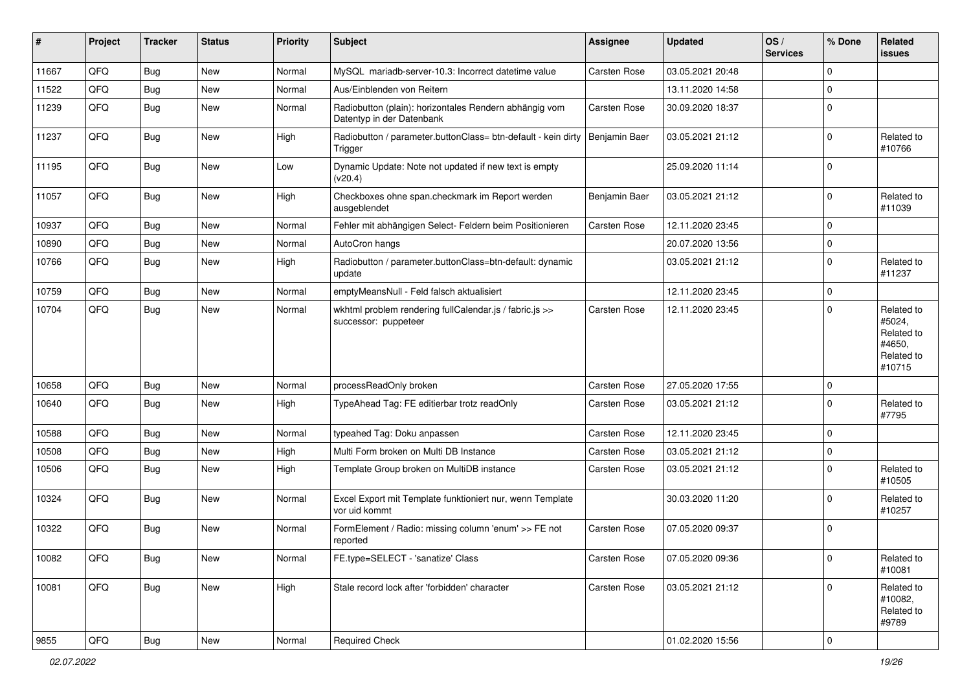| #     | Project | <b>Tracker</b> | <b>Status</b> | <b>Priority</b> | <b>Subject</b>                                                                      | Assignee      | <b>Updated</b>   | OS/<br><b>Services</b> | % Done         | Related<br><b>issues</b>                                             |
|-------|---------|----------------|---------------|-----------------|-------------------------------------------------------------------------------------|---------------|------------------|------------------------|----------------|----------------------------------------------------------------------|
| 11667 | QFQ     | <b>Bug</b>     | New           | Normal          | MySQL mariadb-server-10.3: Incorrect datetime value                                 | Carsten Rose  | 03.05.2021 20:48 |                        | $\mathbf 0$    |                                                                      |
| 11522 | QFQ     | Bug            | <b>New</b>    | Normal          | Aus/Einblenden von Reitern                                                          |               | 13.11.2020 14:58 |                        | $\mathbf 0$    |                                                                      |
| 11239 | QFQ     | <b>Bug</b>     | <b>New</b>    | Normal          | Radiobutton (plain): horizontales Rendern abhängig vom<br>Datentyp in der Datenbank | Carsten Rose  | 30.09.2020 18:37 |                        | $\mathbf 0$    |                                                                      |
| 11237 | QFQ     | <b>Bug</b>     | New           | High            | Radiobutton / parameter.buttonClass= btn-default - kein dirty<br>Trigger            | Benjamin Baer | 03.05.2021 21:12 |                        | $\Omega$       | Related to<br>#10766                                                 |
| 11195 | QFQ     | <b>Bug</b>     | New           | Low             | Dynamic Update: Note not updated if new text is empty<br>(v20.4)                    |               | 25.09.2020 11:14 |                        | $\mathbf 0$    |                                                                      |
| 11057 | QFQ     | <b>Bug</b>     | <b>New</b>    | High            | Checkboxes ohne span.checkmark im Report werden<br>ausgeblendet                     | Benjamin Baer | 03.05.2021 21:12 |                        | 0              | Related to<br>#11039                                                 |
| 10937 | QFQ     | Bug            | New           | Normal          | Fehler mit abhängigen Select- Feldern beim Positionieren                            | Carsten Rose  | 12.11.2020 23:45 |                        | $\mathbf 0$    |                                                                      |
| 10890 | QFQ     | Bug            | <b>New</b>    | Normal          | AutoCron hangs                                                                      |               | 20.07.2020 13:56 |                        | $\mathbf 0$    |                                                                      |
| 10766 | QFQ     | <b>Bug</b>     | New           | High            | Radiobutton / parameter.buttonClass=btn-default: dynamic<br>update                  |               | 03.05.2021 21:12 |                        | $\mathbf 0$    | Related to<br>#11237                                                 |
| 10759 | QFQ     | Bug            | New           | Normal          | emptyMeansNull - Feld falsch aktualisiert                                           |               | 12.11.2020 23:45 |                        | $\mathbf 0$    |                                                                      |
| 10704 | QFQ     | Bug            | <b>New</b>    | Normal          | wkhtml problem rendering fullCalendar.js / fabric.js >><br>successor: puppeteer     | Carsten Rose  | 12.11.2020 23:45 |                        | $\mathbf 0$    | Related to<br>#5024,<br>Related to<br>#4650,<br>Related to<br>#10715 |
| 10658 | QFQ     | Bug            | New           | Normal          | processReadOnly broken                                                              | Carsten Rose  | 27.05.2020 17:55 |                        | 0              |                                                                      |
| 10640 | QFQ     | <b>Bug</b>     | <b>New</b>    | High            | TypeAhead Tag: FE editierbar trotz readOnly                                         | Carsten Rose  | 03.05.2021 21:12 |                        | $\Omega$       | Related to<br>#7795                                                  |
| 10588 | QFQ     | Bug            | <b>New</b>    | Normal          | typeahed Tag: Doku anpassen                                                         | Carsten Rose  | 12.11.2020 23:45 |                        | $\mathbf 0$    |                                                                      |
| 10508 | QFQ     | Bug            | New           | High            | Multi Form broken on Multi DB Instance                                              | Carsten Rose  | 03.05.2021 21:12 |                        | $\mathbf 0$    |                                                                      |
| 10506 | QFQ     | Bug            | <b>New</b>    | High            | Template Group broken on MultiDB instance                                           | Carsten Rose  | 03.05.2021 21:12 |                        | $\mathbf 0$    | Related to<br>#10505                                                 |
| 10324 | QFQ     | <b>Bug</b>     | New           | Normal          | Excel Export mit Template funktioniert nur, wenn Template<br>vor uid kommt          |               | 30.03.2020 11:20 |                        | $\mathbf 0$    | Related to<br>#10257                                                 |
| 10322 | QFQ     | Bug            | New           | Normal          | FormElement / Radio: missing column 'enum' >> FE not<br>reported                    | Carsten Rose  | 07.05.2020 09:37 |                        | l 0            |                                                                      |
| 10082 | QFQ     | Bug            | New           | Normal          | FE.type=SELECT - 'sanatize' Class                                                   | Carsten Rose  | 07.05.2020 09:36 |                        | 0              | Related to<br>#10081                                                 |
| 10081 | QFQ     | <b>Bug</b>     | New           | High            | Stale record lock after 'forbidden' character                                       | Carsten Rose  | 03.05.2021 21:12 |                        | 0              | Related to<br>#10082,<br>Related to<br>#9789                         |
| 9855  | QFG     | Bug            | New           | Normal          | <b>Required Check</b>                                                               |               | 01.02.2020 15:56 |                        | $\overline{0}$ |                                                                      |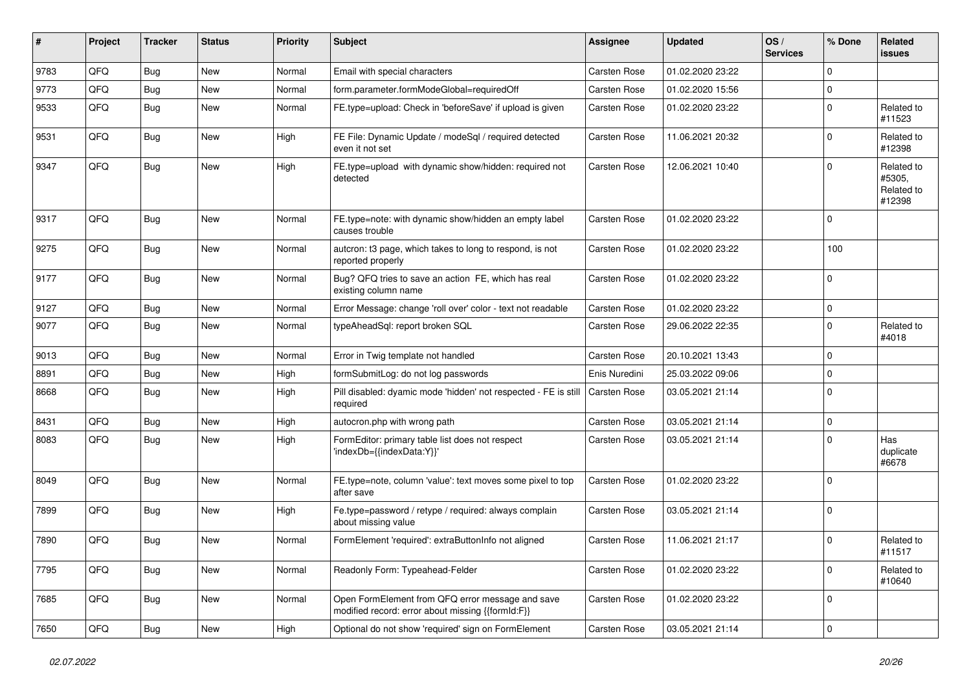| #    | Project | <b>Tracker</b> | <b>Status</b> | <b>Priority</b> | <b>Subject</b>                                                                                        | Assignee            | <b>Updated</b>   | OS/<br><b>Services</b> | % Done      | Related<br><b>issues</b>                     |
|------|---------|----------------|---------------|-----------------|-------------------------------------------------------------------------------------------------------|---------------------|------------------|------------------------|-------------|----------------------------------------------|
| 9783 | QFQ     | <b>Bug</b>     | New           | Normal          | Email with special characters                                                                         | Carsten Rose        | 01.02.2020 23:22 |                        | $\mathbf 0$ |                                              |
| 9773 | QFQ     | <b>Bug</b>     | New           | Normal          | form.parameter.formModeGlobal=requiredOff                                                             | Carsten Rose        | 01.02.2020 15:56 |                        | $\mathbf 0$ |                                              |
| 9533 | QFQ     | Bug            | New           | Normal          | FE.type=upload: Check in 'beforeSave' if upload is given                                              | Carsten Rose        | 01.02.2020 23:22 |                        | $\mathbf 0$ | Related to<br>#11523                         |
| 9531 | QFQ     | Bug            | New           | High            | FE File: Dynamic Update / modeSql / required detected<br>even it not set                              | Carsten Rose        | 11.06.2021 20:32 |                        | $\mathbf 0$ | Related to<br>#12398                         |
| 9347 | QFQ     | Bug            | New           | High            | FE.type=upload with dynamic show/hidden: required not<br>detected                                     | <b>Carsten Rose</b> | 12.06.2021 10:40 |                        | $\mathbf 0$ | Related to<br>#5305,<br>Related to<br>#12398 |
| 9317 | QFQ     | Bug            | New           | Normal          | FE.type=note: with dynamic show/hidden an empty label<br>causes trouble                               | Carsten Rose        | 01.02.2020 23:22 |                        | $\mathbf 0$ |                                              |
| 9275 | QFQ     | Bug            | New           | Normal          | autcron: t3 page, which takes to long to respond, is not<br>reported properly                         | Carsten Rose        | 01.02.2020 23:22 |                        | 100         |                                              |
| 9177 | QFQ     | Bug            | New           | Normal          | Bug? QFQ tries to save an action FE, which has real<br>existing column name                           | Carsten Rose        | 01.02.2020 23:22 |                        | $\mathbf 0$ |                                              |
| 9127 | QFQ     | Bug            | New           | Normal          | Error Message: change 'roll over' color - text not readable                                           | Carsten Rose        | 01.02.2020 23:22 |                        | $\mathbf 0$ |                                              |
| 9077 | QFQ     | <b>Bug</b>     | New           | Normal          | typeAheadSql: report broken SQL                                                                       | <b>Carsten Rose</b> | 29.06.2022 22:35 |                        | $\mathbf 0$ | Related to<br>#4018                          |
| 9013 | QFQ     | Bug            | New           | Normal          | Error in Twig template not handled                                                                    | Carsten Rose        | 20.10.2021 13:43 |                        | $\mathbf 0$ |                                              |
| 8891 | QFQ     | Bug            | New           | High            | formSubmitLog: do not log passwords                                                                   | Enis Nuredini       | 25.03.2022 09:06 |                        | $\mathbf 0$ |                                              |
| 8668 | QFQ     | Bug            | New           | High            | Pill disabled: dyamic mode 'hidden' not respected - FE is still<br>required                           | Carsten Rose        | 03.05.2021 21:14 |                        | $\mathbf 0$ |                                              |
| 8431 | QFQ     | Bug            | New           | High            | autocron.php with wrong path                                                                          | Carsten Rose        | 03.05.2021 21:14 |                        | $\mathbf 0$ |                                              |
| 8083 | QFQ     | Bug            | New           | High            | FormEditor: primary table list does not respect<br>'indexDb={{indexData:Y}}'                          | Carsten Rose        | 03.05.2021 21:14 |                        | $\mathbf 0$ | Has<br>duplicate<br>#6678                    |
| 8049 | QFQ     | Bug            | New           | Normal          | FE.type=note, column 'value': text moves some pixel to top<br>after save                              | Carsten Rose        | 01.02.2020 23:22 |                        | $\mathbf 0$ |                                              |
| 7899 | QFQ     | Bug            | New           | High            | Fe.type=password / retype / required: always complain<br>about missing value                          | Carsten Rose        | 03.05.2021 21:14 |                        | $\mathbf 0$ |                                              |
| 7890 | QFQ     | <b>Bug</b>     | New           | Normal          | FormElement 'required': extraButtonInfo not aligned                                                   | Carsten Rose        | 11.06.2021 21:17 |                        | $\mathbf 0$ | Related to<br>#11517                         |
| 7795 | QFQ     | <b>Bug</b>     | New           | Normal          | Readonly Form: Typeahead-Felder                                                                       | Carsten Rose        | 01.02.2020 23:22 |                        | $\mathbf 0$ | Related to<br>#10640                         |
| 7685 | QFQ     | <b>Bug</b>     | New           | Normal          | Open FormElement from QFQ error message and save<br>modified record: error about missing {{formId:F}} | Carsten Rose        | 01.02.2020 23:22 |                        | $\mathbf 0$ |                                              |
| 7650 | QFQ     | Bug            | New           | High            | Optional do not show 'required' sign on FormElement                                                   | Carsten Rose        | 03.05.2021 21:14 |                        | $\pmb{0}$   |                                              |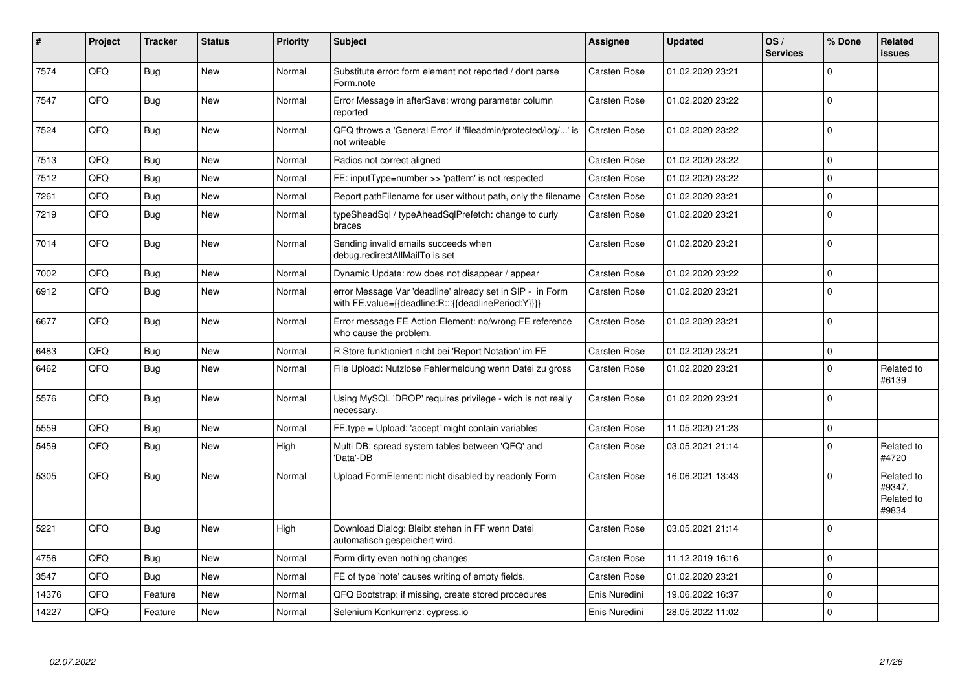| #     | Project | <b>Tracker</b> | <b>Status</b> | <b>Priority</b> | <b>Subject</b>                                                                                                   | <b>Assignee</b>     | <b>Updated</b>   | OS/<br><b>Services</b> | % Done      | Related<br>issues                           |
|-------|---------|----------------|---------------|-----------------|------------------------------------------------------------------------------------------------------------------|---------------------|------------------|------------------------|-------------|---------------------------------------------|
| 7574  | QFQ     | Bug            | <b>New</b>    | Normal          | Substitute error: form element not reported / dont parse<br>Form.note                                            | <b>Carsten Rose</b> | 01.02.2020 23:21 |                        | U           |                                             |
| 7547  | QFQ     | <b>Bug</b>     | New           | Normal          | Error Message in afterSave: wrong parameter column<br>reported                                                   | Carsten Rose        | 01.02.2020 23:22 |                        | $\Omega$    |                                             |
| 7524  | QFQ     | Bug            | <b>New</b>    | Normal          | QFQ throws a 'General Error' if 'fileadmin/protected/log/' is<br>not writeable                                   | <b>Carsten Rose</b> | 01.02.2020 23:22 |                        | $\mathbf 0$ |                                             |
| 7513  | QFQ     | <b>Bug</b>     | New           | Normal          | Radios not correct aligned                                                                                       | Carsten Rose        | 01.02.2020 23:22 |                        | $\Omega$    |                                             |
| 7512  | QFQ     | <b>Bug</b>     | <b>New</b>    | Normal          | FE: inputType=number >> 'pattern' is not respected                                                               | <b>Carsten Rose</b> | 01.02.2020 23:22 |                        | $\Omega$    |                                             |
| 7261  | QFQ     | <b>Bug</b>     | <b>New</b>    | Normal          | Report pathFilename for user without path, only the filename                                                     | <b>Carsten Rose</b> | 01.02.2020 23:21 |                        | $\Omega$    |                                             |
| 7219  | QFQ     | Bug            | <b>New</b>    | Normal          | typeSheadSql / typeAheadSqlPrefetch: change to curly<br>braces                                                   | <b>Carsten Rose</b> | 01.02.2020 23:21 |                        | $\Omega$    |                                             |
| 7014  | QFQ     | <b>Bug</b>     | <b>New</b>    | Normal          | Sending invalid emails succeeds when<br>debug.redirectAllMailTo is set                                           | <b>Carsten Rose</b> | 01.02.2020 23:21 |                        | $\Omega$    |                                             |
| 7002  | QFQ     | <b>Bug</b>     | New           | Normal          | Dynamic Update: row does not disappear / appear                                                                  | <b>Carsten Rose</b> | 01.02.2020 23:22 |                        | $\mathbf 0$ |                                             |
| 6912  | QFQ     | Bug            | <b>New</b>    | Normal          | error Message Var 'deadline' already set in SIP - in Form<br>with FE.value={{deadline:R:::{{deadlinePeriod:Y}}}} | <b>Carsten Rose</b> | 01.02.2020 23:21 |                        | $\Omega$    |                                             |
| 6677  | QFQ     | <b>Bug</b>     | New           | Normal          | Error message FE Action Element: no/wrong FE reference<br>who cause the problem.                                 | Carsten Rose        | 01.02.2020 23:21 |                        | $\Omega$    |                                             |
| 6483  | QFQ     | Bug            | New           | Normal          | R Store funktioniert nicht bei 'Report Notation' im FE                                                           | <b>Carsten Rose</b> | 01.02.2020 23:21 |                        | $\Omega$    |                                             |
| 6462  | QFQ     | Bug            | <b>New</b>    | Normal          | File Upload: Nutzlose Fehlermeldung wenn Datei zu gross                                                          | <b>Carsten Rose</b> | 01.02.2020 23:21 |                        | $\Omega$    | Related to<br>#6139                         |
| 5576  | QFQ     | <b>Bug</b>     | New           | Normal          | Using MySQL 'DROP' requires privilege - wich is not really<br>necessary.                                         | Carsten Rose        | 01.02.2020 23:21 |                        | $\Omega$    |                                             |
| 5559  | QFQ     | Bug            | <b>New</b>    | Normal          | FE.type = Upload: 'accept' might contain variables                                                               | <b>Carsten Rose</b> | 11.05.2020 21:23 |                        | $\mathbf 0$ |                                             |
| 5459  | QFQ     | Bug            | <b>New</b>    | High            | Multi DB: spread system tables between 'QFQ' and<br>'Data'-DB                                                    | <b>Carsten Rose</b> | 03.05.2021 21:14 |                        | $\Omega$    | Related to<br>#4720                         |
| 5305  | QFQ     | <b>Bug</b>     | New           | Normal          | Upload FormElement: nicht disabled by readonly Form                                                              | Carsten Rose        | 16.06.2021 13:43 |                        | U           | Related to<br>#9347,<br>Related to<br>#9834 |
| 5221  | QFQ     | Bug            | <b>New</b>    | High            | Download Dialog: Bleibt stehen in FF wenn Datei<br>automatisch gespeichert wird.                                 | <b>Carsten Rose</b> | 03.05.2021 21:14 |                        | $\Omega$    |                                             |
| 4756  | QFQ     | Bug            | <b>New</b>    | Normal          | Form dirty even nothing changes                                                                                  | <b>Carsten Rose</b> | 11.12.2019 16:16 |                        | 0           |                                             |
| 3547  | QFQ     | Bug            | <b>New</b>    | Normal          | FE of type 'note' causes writing of empty fields.                                                                | <b>Carsten Rose</b> | 01.02.2020 23:21 |                        | $\Omega$    |                                             |
| 14376 | QFQ     | Feature        | New           | Normal          | QFQ Bootstrap: if missing, create stored procedures                                                              | Enis Nuredini       | 19.06.2022 16:37 |                        | $\Omega$    |                                             |
| 14227 | QFQ     | Feature        | New           | Normal          | Selenium Konkurrenz: cypress.io                                                                                  | Enis Nuredini       | 28.05.2022 11:02 |                        | $\Omega$    |                                             |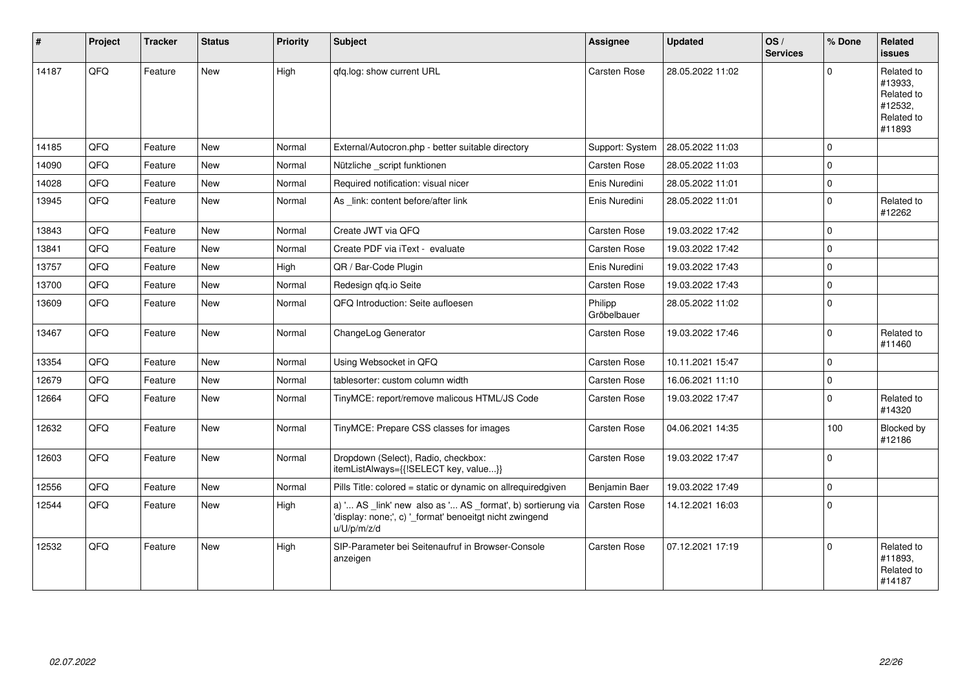| $\vert$ # | Project | <b>Tracker</b> | <b>Status</b> | <b>Priority</b> | <b>Subject</b>                                                                                                                        | Assignee               | <b>Updated</b>   | OS/<br><b>Services</b> | % Done      | <b>Related</b><br><b>issues</b>                                        |
|-----------|---------|----------------|---------------|-----------------|---------------------------------------------------------------------------------------------------------------------------------------|------------------------|------------------|------------------------|-------------|------------------------------------------------------------------------|
| 14187     | QFQ     | Feature        | New           | High            | gfg.log: show current URL                                                                                                             | Carsten Rose           | 28.05.2022 11:02 |                        | $\Omega$    | Related to<br>#13933,<br>Related to<br>#12532,<br>Related to<br>#11893 |
| 14185     | QFQ     | Feature        | <b>New</b>    | Normal          | External/Autocron.php - better suitable directory                                                                                     | Support: System        | 28.05.2022 11:03 |                        | $\Omega$    |                                                                        |
| 14090     | QFQ     | Feature        | <b>New</b>    | Normal          | Nützliche _script funktionen                                                                                                          | Carsten Rose           | 28.05.2022 11:03 |                        | $\Omega$    |                                                                        |
| 14028     | QFQ     | Feature        | <b>New</b>    | Normal          | Required notification: visual nicer                                                                                                   | Enis Nuredini          | 28.05.2022 11:01 |                        | $\mathbf 0$ |                                                                        |
| 13945     | QFQ     | Feature        | <b>New</b>    | Normal          | As link: content before/after link                                                                                                    | Enis Nuredini          | 28.05.2022 11:01 |                        | $\mathbf 0$ | Related to<br>#12262                                                   |
| 13843     | QFQ     | Feature        | <b>New</b>    | Normal          | Create JWT via QFQ                                                                                                                    | <b>Carsten Rose</b>    | 19.03.2022 17:42 |                        | $\mathbf 0$ |                                                                        |
| 13841     | QFQ     | Feature        | <b>New</b>    | Normal          | Create PDF via iText - evaluate                                                                                                       | <b>Carsten Rose</b>    | 19.03.2022 17:42 |                        | $\Omega$    |                                                                        |
| 13757     | QFQ     | Feature        | <b>New</b>    | High            | QR / Bar-Code Plugin                                                                                                                  | Enis Nuredini          | 19.03.2022 17:43 |                        | $\mathbf 0$ |                                                                        |
| 13700     | QFQ     | Feature        | New           | Normal          | Redesign qfq.io Seite                                                                                                                 | Carsten Rose           | 19.03.2022 17:43 |                        | $\mathbf 0$ |                                                                        |
| 13609     | QFQ     | Feature        | New           | Normal          | QFQ Introduction: Seite aufloesen                                                                                                     | Philipp<br>Gröbelbauer | 28.05.2022 11:02 |                        | $\Omega$    |                                                                        |
| 13467     | QFQ     | Feature        | <b>New</b>    | Normal          | ChangeLog Generator                                                                                                                   | <b>Carsten Rose</b>    | 19.03.2022 17:46 |                        | $\mathbf 0$ | Related to<br>#11460                                                   |
| 13354     | QFQ     | Feature        | <b>New</b>    | Normal          | Using Websocket in QFQ                                                                                                                | Carsten Rose           | 10.11.2021 15:47 |                        | $\mathbf 0$ |                                                                        |
| 12679     | QFQ     | Feature        | <b>New</b>    | Normal          | tablesorter: custom column width                                                                                                      | Carsten Rose           | 16.06.2021 11:10 |                        | $\mathbf 0$ |                                                                        |
| 12664     | QFQ     | Feature        | <b>New</b>    | Normal          | TinyMCE: report/remove malicous HTML/JS Code                                                                                          | Carsten Rose           | 19.03.2022 17:47 |                        | $\Omega$    | Related to<br>#14320                                                   |
| 12632     | QFQ     | Feature        | <b>New</b>    | Normal          | TinyMCE: Prepare CSS classes for images                                                                                               | Carsten Rose           | 04.06.2021 14:35 |                        | 100         | Blocked by<br>#12186                                                   |
| 12603     | QFQ     | Feature        | <b>New</b>    | Normal          | Dropdown (Select), Radio, checkbox:<br>itemListAlways={{!SELECT key, value}}                                                          | <b>Carsten Rose</b>    | 19.03.2022 17:47 |                        | $\Omega$    |                                                                        |
| 12556     | QFQ     | Feature        | <b>New</b>    | Normal          | Pills Title: colored = static or dynamic on allrequiredgiven                                                                          | Benjamin Baer          | 19.03.2022 17:49 |                        | $\Omega$    |                                                                        |
| 12544     | QFQ     | Feature        | <b>New</b>    | High            | a) ' AS _link' new also as ' AS _format', b) sortierung via<br>'display: none;', c) '_format' benoeitgt nicht zwingend<br>u/U/p/m/z/d | <b>Carsten Rose</b>    | 14.12.2021 16:03 |                        | $\mathbf 0$ |                                                                        |
| 12532     | QFQ     | Feature        | <b>New</b>    | High            | SIP-Parameter bei Seitenaufruf in Browser-Console<br>anzeigen                                                                         | Carsten Rose           | 07.12.2021 17:19 |                        | $\Omega$    | Related to<br>#11893,<br>Related to<br>#14187                          |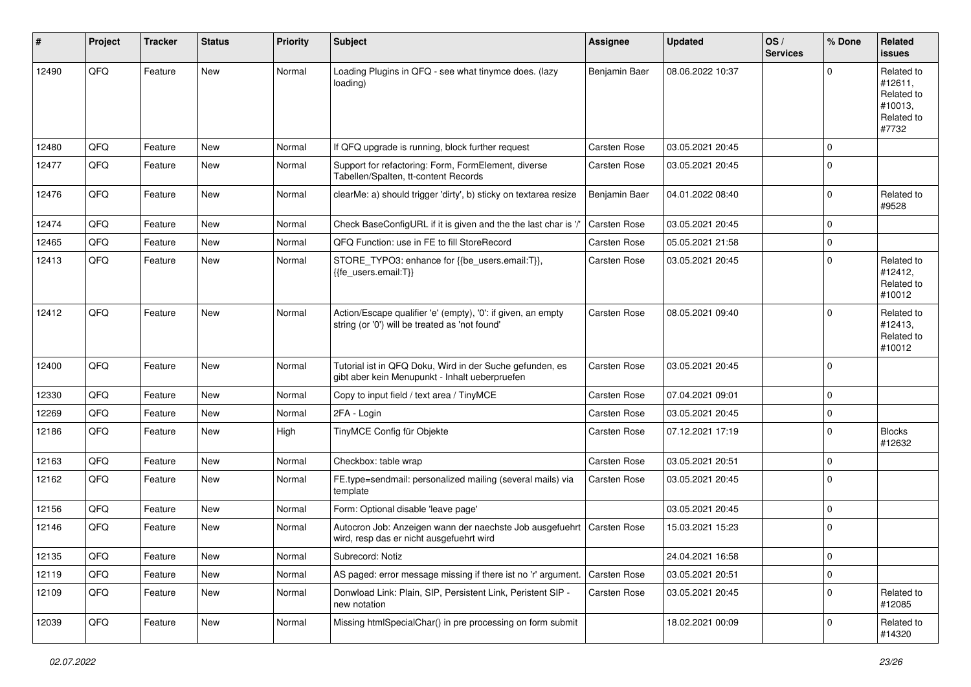| #     | Project | <b>Tracker</b> | <b>Status</b> | <b>Priority</b> | Subject                                                                                                        | <b>Assignee</b> | <b>Updated</b>   | OS/<br><b>Services</b> | % Done      | Related<br><b>issues</b>                                              |
|-------|---------|----------------|---------------|-----------------|----------------------------------------------------------------------------------------------------------------|-----------------|------------------|------------------------|-------------|-----------------------------------------------------------------------|
| 12490 | QFQ     | Feature        | New           | Normal          | Loading Plugins in QFQ - see what tinymce does. (lazy<br>loading)                                              | Benjamin Baer   | 08.06.2022 10:37 |                        | $\Omega$    | Related to<br>#12611,<br>Related to<br>#10013,<br>Related to<br>#7732 |
| 12480 | QFQ     | Feature        | <b>New</b>    | Normal          | If QFQ upgrade is running, block further request                                                               | Carsten Rose    | 03.05.2021 20:45 |                        | $\mathbf 0$ |                                                                       |
| 12477 | QFQ     | Feature        | New           | Normal          | Support for refactoring: Form, FormElement, diverse<br>Tabellen/Spalten, tt-content Records                    | Carsten Rose    | 03.05.2021 20:45 |                        | $\mathbf 0$ |                                                                       |
| 12476 | QFQ     | Feature        | New           | Normal          | clearMe: a) should trigger 'dirty', b) sticky on textarea resize                                               | Benjamin Baer   | 04.01.2022 08:40 |                        | $\mathbf 0$ | Related to<br>#9528                                                   |
| 12474 | QFQ     | Feature        | <b>New</b>    | Normal          | Check BaseConfigURL if it is given and the the last char is '/'                                                | Carsten Rose    | 03.05.2021 20:45 |                        | $\mathbf 0$ |                                                                       |
| 12465 | QFQ     | Feature        | New           | Normal          | QFQ Function: use in FE to fill StoreRecord                                                                    | Carsten Rose    | 05.05.2021 21:58 |                        | 0           |                                                                       |
| 12413 | QFQ     | Feature        | New           | Normal          | STORE_TYPO3: enhance for {{be_users.email:T}},<br>{{fe_users.email:T}}                                         | Carsten Rose    | 03.05.2021 20:45 |                        | $\Omega$    | Related to<br>#12412,<br>Related to<br>#10012                         |
| 12412 | QFQ     | Feature        | New           | Normal          | Action/Escape qualifier 'e' (empty), '0': if given, an empty<br>string (or '0') will be treated as 'not found' | Carsten Rose    | 08.05.2021 09:40 |                        | $\Omega$    | Related to<br>#12413,<br>Related to<br>#10012                         |
| 12400 | QFQ     | Feature        | <b>New</b>    | Normal          | Tutorial ist in QFQ Doku, Wird in der Suche gefunden, es<br>gibt aber kein Menupunkt - Inhalt ueberpruefen     | Carsten Rose    | 03.05.2021 20:45 |                        | $\Omega$    |                                                                       |
| 12330 | QFQ     | Feature        | <b>New</b>    | Normal          | Copy to input field / text area / TinyMCE                                                                      | Carsten Rose    | 07.04.2021 09:01 |                        | $\mathbf 0$ |                                                                       |
| 12269 | QFQ     | Feature        | New           | Normal          | 2FA - Login                                                                                                    | Carsten Rose    | 03.05.2021 20:45 |                        | $\mathbf 0$ |                                                                       |
| 12186 | QFQ     | Feature        | New           | High            | TinyMCE Config für Objekte                                                                                     | Carsten Rose    | 07.12.2021 17:19 |                        | $\mathbf 0$ | <b>Blocks</b><br>#12632                                               |
| 12163 | QFQ     | Feature        | New           | Normal          | Checkbox: table wrap                                                                                           | Carsten Rose    | 03.05.2021 20:51 |                        | $\mathbf 0$ |                                                                       |
| 12162 | QFQ     | Feature        | New           | Normal          | FE.type=sendmail: personalized mailing (several mails) via<br>template                                         | Carsten Rose    | 03.05.2021 20:45 |                        | $\mathbf 0$ |                                                                       |
| 12156 | QFQ     | Feature        | New           | Normal          | Form: Optional disable 'leave page'                                                                            |                 | 03.05.2021 20:45 |                        | $\mathbf 0$ |                                                                       |
| 12146 | QFQ     | Feature        | New           | Normal          | Autocron Job: Anzeigen wann der naechste Job ausgefuehrt<br>wird, resp das er nicht ausgefuehrt wird           | Carsten Rose    | 15.03.2021 15:23 |                        | $\mathbf 0$ |                                                                       |
| 12135 | QFQ     | Feature        | New           | Normal          | Subrecord: Notiz                                                                                               |                 | 24.04.2021 16:58 |                        | 0           |                                                                       |
| 12119 | QFQ     | Feature        | New           | Normal          | AS paged: error message missing if there ist no 'r' argument.                                                  | Carsten Rose    | 03.05.2021 20:51 |                        | 0           |                                                                       |
| 12109 | QFQ     | Feature        | New           | Normal          | Donwload Link: Plain, SIP, Persistent Link, Peristent SIP -<br>new notation                                    | Carsten Rose    | 03.05.2021 20:45 |                        | 0           | Related to<br>#12085                                                  |
| 12039 | QFQ     | Feature        | New           | Normal          | Missing htmlSpecialChar() in pre processing on form submit                                                     |                 | 18.02.2021 00:09 |                        | 0           | Related to<br>#14320                                                  |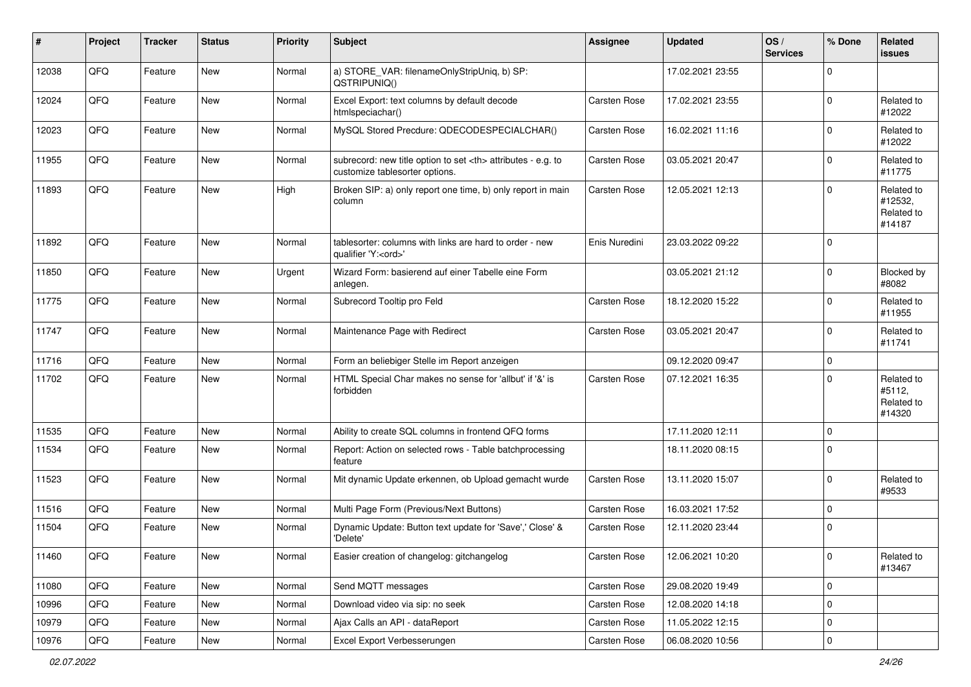| #     | Project | <b>Tracker</b> | <b>Status</b> | <b>Priority</b> | <b>Subject</b>                                                                                       | Assignee                                               | <b>Updated</b>   | OS/<br><b>Services</b> | % Done      | Related<br><b>issues</b>                      |                      |
|-------|---------|----------------|---------------|-----------------|------------------------------------------------------------------------------------------------------|--------------------------------------------------------|------------------|------------------------|-------------|-----------------------------------------------|----------------------|
| 12038 | QFQ     | Feature        | <b>New</b>    | Normal          | a) STORE_VAR: filenameOnlyStripUniq, b) SP:<br>QSTRIPUNIQ()                                          |                                                        | 17.02.2021 23:55 |                        | $\mathbf 0$ |                                               |                      |
| 12024 | QFQ     | Feature        | New           | Normal          | Excel Export: text columns by default decode<br>htmlspeciachar()                                     | Carsten Rose                                           | 17.02.2021 23:55 |                        | $\mathbf 0$ | Related to<br>#12022                          |                      |
| 12023 | QFQ     | Feature        | New           | Normal          | MySQL Stored Precdure: QDECODESPECIALCHAR()                                                          | Carsten Rose                                           | 16.02.2021 11:16 |                        | $\mathbf 0$ | Related to<br>#12022                          |                      |
| 11955 | QFQ     | Feature        | New           | Normal          | subrecord: new title option to set <th> attributes - e.g. to<br/>customize tablesorter options.</th> | attributes - e.g. to<br>customize tablesorter options. | Carsten Rose     | 03.05.2021 20:47       |             | $\mathbf 0$                                   | Related to<br>#11775 |
| 11893 | QFQ     | Feature        | New           | High            | Broken SIP: a) only report one time, b) only report in main<br>column                                | Carsten Rose                                           | 12.05.2021 12:13 |                        | $\mathbf 0$ | Related to<br>#12532,<br>Related to<br>#14187 |                      |
| 11892 | QFQ     | Feature        | New           | Normal          | tablesorter: columns with links are hard to order - new<br>qualifier 'Y: <ord>'</ord>                | Enis Nuredini                                          | 23.03.2022 09:22 |                        | $\mathbf 0$ |                                               |                      |
| 11850 | QFQ     | Feature        | New           | Urgent          | Wizard Form: basierend auf einer Tabelle eine Form<br>anlegen.                                       |                                                        | 03.05.2021 21:12 |                        | $\mathbf 0$ | Blocked by<br>#8082                           |                      |
| 11775 | QFQ     | Feature        | New           | Normal          | Subrecord Tooltip pro Feld                                                                           | Carsten Rose                                           | 18.12.2020 15:22 |                        | $\mathbf 0$ | Related to<br>#11955                          |                      |
| 11747 | QFQ     | Feature        | New           | Normal          | Maintenance Page with Redirect                                                                       | Carsten Rose                                           | 03.05.2021 20:47 |                        | $\mathbf 0$ | Related to<br>#11741                          |                      |
| 11716 | QFQ     | Feature        | New           | Normal          | Form an beliebiger Stelle im Report anzeigen                                                         |                                                        | 09.12.2020 09:47 |                        | $\mathbf 0$ |                                               |                      |
| 11702 | QFQ     | Feature        | New           | Normal          | HTML Special Char makes no sense for 'allbut' if '&' is<br>forbidden                                 | Carsten Rose                                           | 07.12.2021 16:35 |                        | $\mathbf 0$ | Related to<br>#5112,<br>Related to<br>#14320  |                      |
| 11535 | QFQ     | Feature        | New           | Normal          | Ability to create SQL columns in frontend QFQ forms                                                  |                                                        | 17.11.2020 12:11 |                        | $\mathbf 0$ |                                               |                      |
| 11534 | QFQ     | Feature        | New           | Normal          | Report: Action on selected rows - Table batchprocessing<br>feature                                   |                                                        | 18.11.2020 08:15 |                        | $\mathbf 0$ |                                               |                      |
| 11523 | QFQ     | Feature        | <b>New</b>    | Normal          | Mit dynamic Update erkennen, ob Upload gemacht wurde                                                 | Carsten Rose                                           | 13.11.2020 15:07 |                        | $\mathbf 0$ | Related to<br>#9533                           |                      |
| 11516 | QFQ     | Feature        | New           | Normal          | Multi Page Form (Previous/Next Buttons)                                                              | Carsten Rose                                           | 16.03.2021 17:52 |                        | $\mathbf 0$ |                                               |                      |
| 11504 | QFQ     | Feature        | New           | Normal          | Dynamic Update: Button text update for 'Save',' Close' &<br>'Delete'                                 | Carsten Rose                                           | 12.11.2020 23:44 |                        | $\mathbf 0$ |                                               |                      |
| 11460 | QFQ     | Feature        | New           | Normal          | Easier creation of changelog: gitchangelog                                                           | Carsten Rose                                           | 12.06.2021 10:20 |                        | 0           | Related to<br>#13467                          |                      |
| 11080 | QFQ     | Feature        | New           | Normal          | Send MQTT messages                                                                                   | Carsten Rose                                           | 29.08.2020 19:49 |                        | $\mathbf 0$ |                                               |                      |
| 10996 | QFQ     | Feature        | New           | Normal          | Download video via sip: no seek                                                                      | Carsten Rose                                           | 12.08.2020 14:18 |                        | $\mathbf 0$ |                                               |                      |
| 10979 | QFQ     | Feature        | New           | Normal          | Ajax Calls an API - dataReport                                                                       | Carsten Rose                                           | 11.05.2022 12:15 |                        | 0           |                                               |                      |
| 10976 | QFQ     | Feature        | New           | Normal          | Excel Export Verbesserungen                                                                          | Carsten Rose                                           | 06.08.2020 10:56 |                        | $\mathsf 0$ |                                               |                      |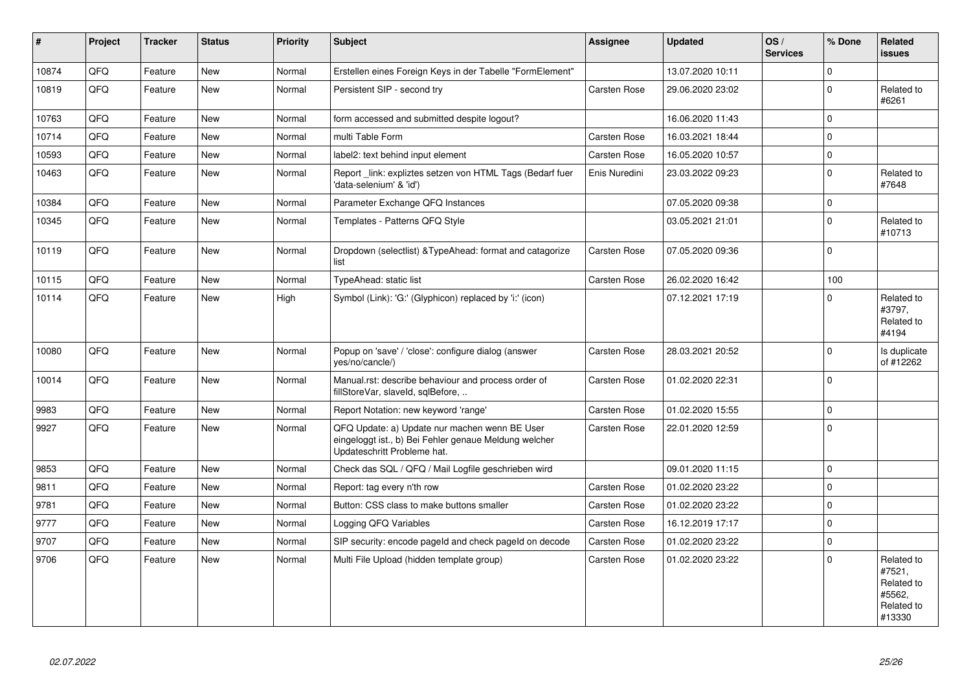| $\vert$ # | Project | <b>Tracker</b> | <b>Status</b> | <b>Priority</b> | <b>Subject</b>                                                                                                                        | Assignee            | <b>Updated</b>   | OS/<br><b>Services</b> | % Done      | Related<br><b>issues</b>                                             |
|-----------|---------|----------------|---------------|-----------------|---------------------------------------------------------------------------------------------------------------------------------------|---------------------|------------------|------------------------|-------------|----------------------------------------------------------------------|
| 10874     | QFQ     | Feature        | <b>New</b>    | Normal          | Erstellen eines Foreign Keys in der Tabelle "FormElement"                                                                             |                     | 13.07.2020 10:11 |                        | $\Omega$    |                                                                      |
| 10819     | QFQ     | Feature        | New           | Normal          | Persistent SIP - second try                                                                                                           | Carsten Rose        | 29.06.2020 23:02 |                        | $\mathbf 0$ | Related to<br>#6261                                                  |
| 10763     | QFQ     | Feature        | <b>New</b>    | Normal          | form accessed and submitted despite logout?                                                                                           |                     | 16.06.2020 11:43 |                        | $\Omega$    |                                                                      |
| 10714     | QFQ     | Feature        | New           | Normal          | multi Table Form                                                                                                                      | <b>Carsten Rose</b> | 16.03.2021 18:44 |                        | $\mathbf 0$ |                                                                      |
| 10593     | QFQ     | Feature        | New           | Normal          | label2: text behind input element                                                                                                     | <b>Carsten Rose</b> | 16.05.2020 10:57 |                        | $\mathbf 0$ |                                                                      |
| 10463     | QFQ     | Feature        | <b>New</b>    | Normal          | Report link: expliztes setzen von HTML Tags (Bedarf fuer<br>'data-selenium' & 'id')                                                   | Enis Nuredini       | 23.03.2022 09:23 |                        | $\mathbf 0$ | Related to<br>#7648                                                  |
| 10384     | QFQ     | Feature        | <b>New</b>    | Normal          | Parameter Exchange QFQ Instances                                                                                                      |                     | 07.05.2020 09:38 |                        | $\mathbf 0$ |                                                                      |
| 10345     | QFQ     | Feature        | <b>New</b>    | Normal          | Templates - Patterns QFQ Style                                                                                                        |                     | 03.05.2021 21:01 |                        | $\Omega$    | Related to<br>#10713                                                 |
| 10119     | QFQ     | Feature        | <b>New</b>    | Normal          | Dropdown (selectlist) & Type Ahead: format and catagorize<br>list                                                                     | Carsten Rose        | 07.05.2020 09:36 |                        | $\mathbf 0$ |                                                                      |
| 10115     | QFQ     | Feature        | New           | Normal          | TypeAhead: static list                                                                                                                | <b>Carsten Rose</b> | 26.02.2020 16:42 |                        | 100         |                                                                      |
| 10114     | QFQ     | Feature        | <b>New</b>    | High            | Symbol (Link): 'G:' (Glyphicon) replaced by 'i:' (icon)                                                                               |                     | 07.12.2021 17:19 |                        | $\Omega$    | Related to<br>#3797,<br>Related to<br>#4194                          |
| 10080     | QFQ     | Feature        | New           | Normal          | Popup on 'save' / 'close': configure dialog (answer<br>yes/no/cancle/)                                                                | Carsten Rose        | 28.03.2021 20:52 |                        | $\mathbf 0$ | Is duplicate<br>of #12262                                            |
| 10014     | QFQ     | Feature        | <b>New</b>    | Normal          | Manual.rst: describe behaviour and process order of<br>fillStoreVar, slaveId, sqlBefore,                                              | Carsten Rose        | 01.02.2020 22:31 |                        | $\mathbf 0$ |                                                                      |
| 9983      | QFQ     | Feature        | <b>New</b>    | Normal          | Report Notation: new keyword 'range'                                                                                                  | <b>Carsten Rose</b> | 01.02.2020 15:55 |                        | $\mathbf 0$ |                                                                      |
| 9927      | QFQ     | Feature        | New           | Normal          | QFQ Update: a) Update nur machen wenn BE User<br>eingeloggt ist., b) Bei Fehler genaue Meldung welcher<br>Updateschritt Probleme hat. | Carsten Rose        | 22.01.2020 12:59 |                        | $\mathbf 0$ |                                                                      |
| 9853      | QFQ     | Feature        | New           | Normal          | Check das SQL / QFQ / Mail Logfile geschrieben wird                                                                                   |                     | 09.01.2020 11:15 |                        | $\Omega$    |                                                                      |
| 9811      | QFQ     | Feature        | New           | Normal          | Report: tag every n'th row                                                                                                            | <b>Carsten Rose</b> | 01.02.2020 23:22 |                        | $\mathbf 0$ |                                                                      |
| 9781      | QFQ     | Feature        | New           | Normal          | Button: CSS class to make buttons smaller                                                                                             | <b>Carsten Rose</b> | 01.02.2020 23:22 |                        | $\mathbf 0$ |                                                                      |
| 9777      | QFQ     | Feature        | New           | Normal          | Logging QFQ Variables                                                                                                                 | Carsten Rose        | 16.12.2019 17:17 |                        | $\mathbf 0$ |                                                                      |
| 9707      | QFQ     | Feature        | New           | Normal          | SIP security: encode pageld and check pageld on decode                                                                                | <b>Carsten Rose</b> | 01.02.2020 23:22 |                        | $\mathsf 0$ |                                                                      |
| 9706      | QFQ     | Feature        | <b>New</b>    | Normal          | Multi File Upload (hidden template group)                                                                                             | Carsten Rose        | 01.02.2020 23:22 |                        | $\Omega$    | Related to<br>#7521,<br>Related to<br>#5562,<br>Related to<br>#13330 |